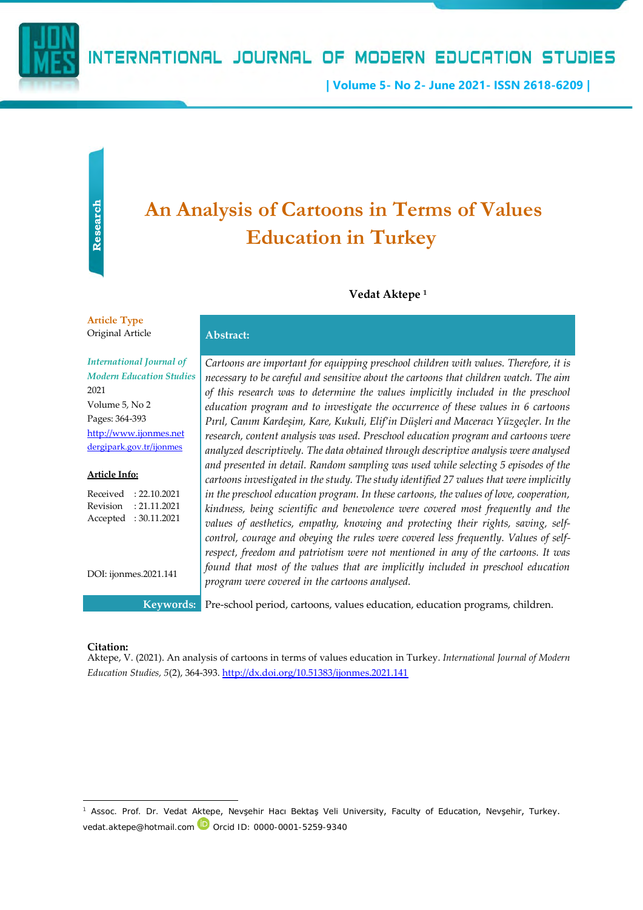

## INTERNATIONAL JOURNAL OF MODERN EDUCATION STUDIES

**| Volume 5- No 2- June 2021- ISSN 2618-6209 |**

# **An Analysis of Cartoons in Terms of Values Education in Turkey**

#### **Vedat Aktepe <sup>1</sup>**

#### **Article Type**  Original Article **Abstract:**

*International Journal of Modern Education Studies* 2021 Volume 5, No 2 Pages: 364-393 [http://www.ijonmes.net](http://www.ijonmes.net/)

#### **Article Info:**

Received : 22.10.2021 Revision : 21.11.2021 Accepted : 30.11.2021

[dergipark.gov.tr/ijonmes](http://www.dergipark.gov.tr/ijonmes)

DOI: ijonmes.2021.141

*Cartoons are important for equipping preschool children with values. Therefore, it is necessary to be careful and sensitive about the cartoons that children watch. The aim of this research was to determine the values implicitly included in the preschool education program and to investigate the occurrence of these values in 6 cartoons Pırıl, Canım Kardeşim, Kare, Kukuli, Elif'in Düşleri and Maceracı Yüzgeçler. In the research, content analysis was used. Preschool education program and cartoons were analyzed descriptively. The data obtained through descriptive analysis were analysed and presented in detail. Random sampling was used while selecting 5 episodes of the cartoons investigated in the study. The study identified 27 values that were implicitly in the preschool education program. In these cartoons, the values of love, cooperation, kindness, being scientific and benevolence were covered most frequently and the values of aesthetics, empathy, knowing and protecting their rights, saving, selfcontrol, courage and obeying the rules were covered less frequently. Values of selfrespect, freedom and patriotism were not mentioned in any of the cartoons. It was found that most of the values that are implicitly included in preschool education program were covered in the cartoons analysed.*

**Keywords:** Pre-school period, cartoons, values education, education programs, children.

#### **Citation:**

Aktepe, V. (2021). An analysis of cartoons in terms of values education in Turkey. *International Journal of Modern Education Studies, 5*(2), 364-393. <http://dx.doi.org/10.51383/ijonmes.2021.141>

<sup>1</sup> Assoc. Prof. Dr. Vedat Aktepe, Nevşehir Hacı Bektaş Veli University, Faculty of Education, Nevşehir, Turkey. vedat.aktepe@hotmail.com Dorcid ID: 0000-0001-5259-9340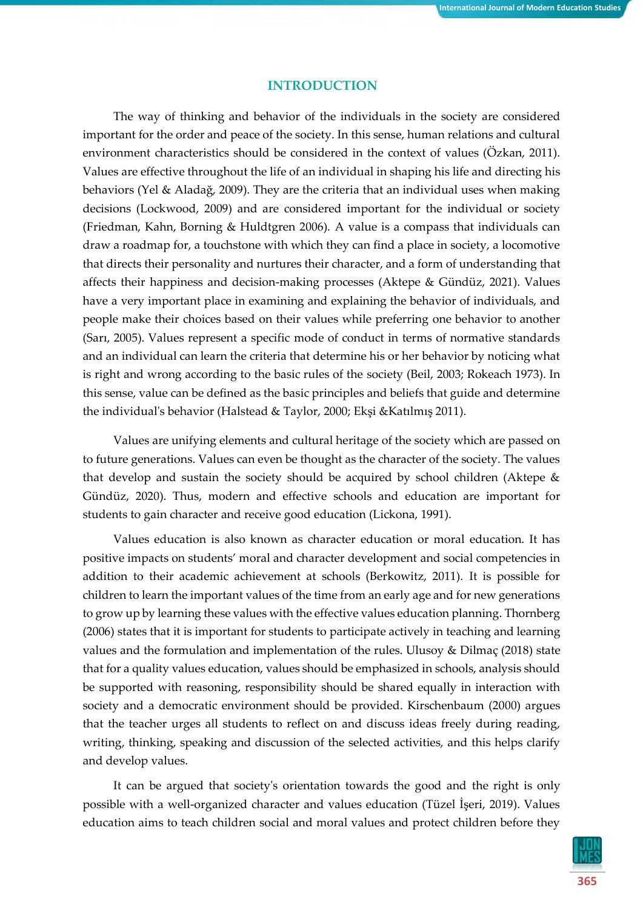## **INTRODUCTION**

The way of thinking and behavior of the individuals in the society are considered important for the order and peace of the society. In this sense, human relations and cultural environment characteristics should be considered in the context of values (Özkan, 2011). Values are effective throughout the life of an individual in shaping his life and directing his behaviors (Yel & Aladağ, 2009). They are the criteria that an individual uses when making decisions (Lockwood, 2009) and are considered important for the individual or society (Friedman, Kahn, Borning & Huldtgren 2006). A value is a compass that individuals can draw a roadmap for, a touchstone with which they can find a place in society, a locomotive that directs their personality and nurtures their character, and a form of understanding that affects their happiness and decision-making processes (Aktepe & Gündüz, 2021). Values have a very important place in examining and explaining the behavior of individuals, and people make their choices based on their values while preferring one behavior to another (Sarı, 2005). Values represent a specific mode of conduct in terms of normative standards and an individual can learn the criteria that determine his or her behavior by noticing what is right and wrong according to the basic rules of the society (Beil, 2003; Rokeach 1973). In this sense, value can be defined as the basic principles and beliefs that guide and determine the individual's behavior (Halstead & Taylor, 2000; Ekşi &Katılmış 2011).

Values are unifying elements and cultural heritage of the society which are passed on to future generations. Values can even be thought as the character of the society. The values that develop and sustain the society should be acquired by school children (Aktepe & Gündüz, 2020). Thus, modern and effective schools and education are important for students to gain character and receive good education (Lickona, 1991).

Values education is also known as character education or moral education. It has positive impacts on students' moral and character development and social competencies in addition to their academic achievement at schools (Berkowitz, 2011). It is possible for children to learn the important values of the time from an early age and for new generations to grow up by learning these values with the effective values education planning. Thornberg (2006) states that it is important for students to participate actively in teaching and learning values and the formulation and implementation of the rules. Ulusoy & Dilmaç (2018) state that for a quality values education, values should be emphasized in schools, analysis should be supported with reasoning, responsibility should be shared equally in interaction with society and a democratic environment should be provided. Kirschenbaum (2000) argues that the teacher urges all students to reflect on and discuss ideas freely during reading, writing, thinking, speaking and discussion of the selected activities, and this helps clarify and develop values.

It can be argued that society's orientation towards the good and the right is only possible with a well-organized character and values education (Tüzel İşeri, 2019). Values education aims to teach children social and moral values and protect children before they

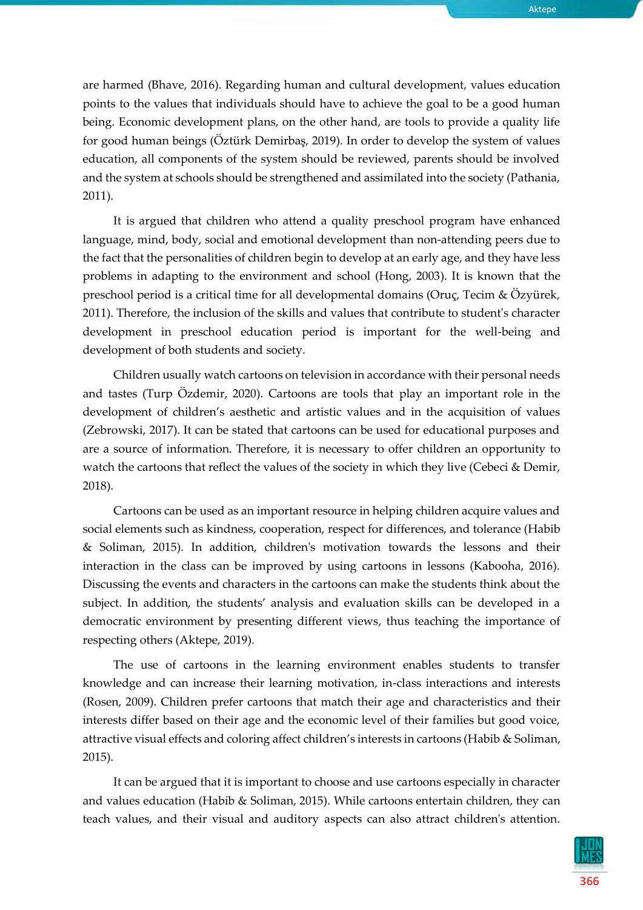are harmed (Bhave, 2016). Regarding human and cultural development, values education points to the values that individuals should have to achieve the goal to be a good human being. Economic development plans, on the other hand, are tools to provide a quality life for good human beings (Öztürk Demirbaş, 2019). In order to develop the system of values education, all components of the system should be reviewed, parents should be involved and the system at schools should be strengthened and assimilated into the society (Pathania, 2011).

It is argued that children who attend a quality preschool program have enhanced language, mind, body, social and emotional development than non-attending peers due to the fact that the personalities of children begin to develop at an early age, and they have less problems in adapting to the environment and school (Hong, 2003). It is known that the preschool period is a critical time for all developmental domains (Oruç, Tecim & Özyürek, 2011). Therefore, the inclusion of the skills and values that contribute to student's character development in preschool education period is important for the well-being and development of both students and society.

Children usually watch cartoons on television in accordance with their personal needs and tastes (Turp Özdemir, 2020). Cartoons are tools that play an important role in the development of children's aesthetic and artistic values and in the acquisition of values (Zebrowski, 2017). It can be stated that cartoons can be used for educational purposes and are a source of information. Therefore, it is necessary to offer children an opportunity to watch the cartoons that reflect the values of the society in which they live (Cebeci & Demir, 2018).

Cartoons can be used as an important resource in helping children acquire values and social elements such as kindness, cooperation, respect for differences, and tolerance (Habib & Soliman, 2015). In addition, children's motivation towards the lessons and their interaction in the class can be improved by using cartoons in lessons (Kabooha, 2016). Discussing the events and characters in the cartoons can make the students think about the subject. In addition, the students' analysis and evaluation skills can be developed in a democratic environment by presenting different views, thus teaching the importance of respecting others (Aktepe, 2019).

The use of cartoons in the learning environment enables students to transfer knowledge and can increase their learning motivation, in-class interactions and interests (Rosen, 2009). Children prefer cartoons that match their age and characteristics and their interests differ based on their age and the economic level of their families but good voice, attractive visual effects and coloring affect children's interests in cartoons (Habib & Soliman, 2015).

It can be argued that it is important to choose and use cartoons especially in character and values education (Habib & Soliman, 2015). While cartoons entertain children, they can teach values, and their visual and auditory aspects can also attract children's attention.

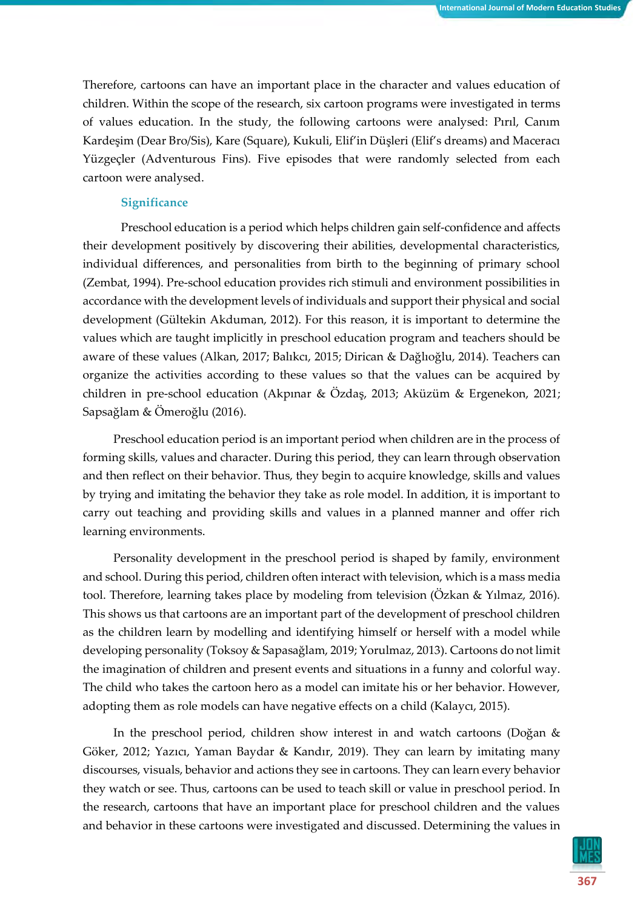Therefore, cartoons can have an important place in the character and values education of children. Within the scope of the research, six cartoon programs were investigated in terms of values education. In the study, the following cartoons were analysed: Pırıl, Canım Kardeşim (Dear Bro/Sis), Kare (Square), Kukuli, Elif'in Düşleri (Elif's dreams) and Maceracı Yüzgeçler (Adventurous Fins). Five episodes that were randomly selected from each cartoon were analysed.

#### **Significance**

Preschool education is a period which helps children gain self-confidence and affects their development positively by discovering their abilities, developmental characteristics, individual differences, and personalities from birth to the beginning of primary school (Zembat, 1994). Pre-school education provides rich stimuli and environment possibilities in accordance with the development levels of individuals and support their physical and social development (Gültekin Akduman, 2012). For this reason, it is important to determine the values which are taught implicitly in preschool education program and teachers should be aware of these values (Alkan, 2017; Balıkcı, 2015; Dirican & Dağlıoğlu, 2014). Teachers can organize the activities according to these values so that the values can be acquired by children in pre-school education (Akpınar & Özdaş, 2013; Aküzüm & Ergenekon, 2021; Sapsağlam & Ömeroğlu (2016).

Preschool education period is an important period when children are in the process of forming skills, values and character. During this period, they can learn through observation and then reflect on their behavior. Thus, they begin to acquire knowledge, skills and values by trying and imitating the behavior they take as role model. In addition, it is important to carry out teaching and providing skills and values in a planned manner and offer rich learning environments.

Personality development in the preschool period is shaped by family, environment and school. During this period, children often interact with television, which is a mass media tool. Therefore, learning takes place by modeling from television (Ozkan & Yılmaz, 2016). This shows us that cartoons are an important part of the development of preschool children as the children learn by modelling and identifying himself or herself with a model while developing personality (Toksoy & Sapasağlam, 2019; Yorulmaz, 2013). Cartoons do not limit the imagination of children and present events and situations in a funny and colorful way. The child who takes the cartoon hero as a model can imitate his or her behavior. However, adopting them as role models can have negative effects on a child (Kalaycı, 2015).

In the preschool period, children show interest in and watch cartoons (Doğan & Göker, 2012; Yazıcı, Yaman Baydar & Kandır, 2019). They can learn by imitating many discourses, visuals, behavior and actions they see in cartoons. They can learn every behavior they watch or see. Thus, cartoons can be used to teach skill or value in preschool period. In the research, cartoons that have an important place for preschool children and the values and behavior in these cartoons were investigated and discussed. Determining the values in

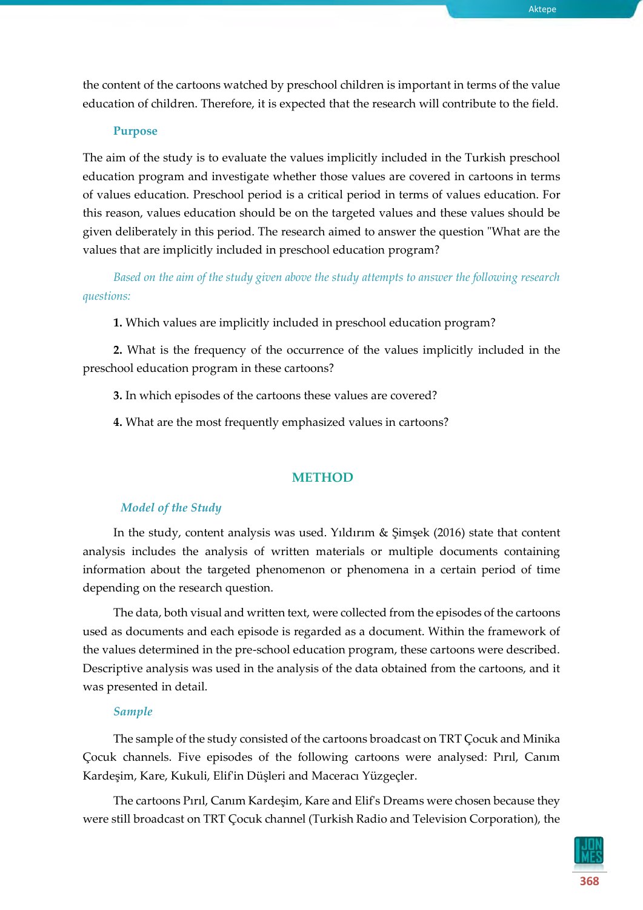the content of the cartoons watched by preschool children is important in terms of the value education of children. Therefore, it is expected that the research will contribute to the field.

#### **Purpose**

The aim of the study is to evaluate the values implicitly included in the Turkish preschool education program and investigate whether those values are covered in cartoons in terms of values education. Preschool period is a critical period in terms of values education. For this reason, values education should be on the targeted values and these values should be given deliberately in this period. The research aimed to answer the question "What are the values that are implicitly included in preschool education program?

*Based on the aim of the study given above the study attempts to answer the following research questions:*

**1.** Which values are implicitly included in preschool education program?

**2.** What is the frequency of the occurrence of the values implicitly included in the preschool education program in these cartoons?

**3.** In which episodes of the cartoons these values are covered?

**4.** What are the most frequently emphasized values in cartoons?

#### **METHOD**

#### *Model of the Study*

In the study, content analysis was used. Yıldırım & Şimşek (2016) state that content analysis includes the analysis of written materials or multiple documents containing information about the targeted phenomenon or phenomena in a certain period of time depending on the research question.

The data, both visual and written text, were collected from the episodes of the cartoons used as documents and each episode is regarded as a document. Within the framework of the values determined in the pre-school education program, these cartoons were described. Descriptive analysis was used in the analysis of the data obtained from the cartoons, and it was presented in detail.

#### *Sample*

The sample of the study consisted of the cartoons broadcast on TRT Çocuk and Minika Çocuk channels. Five episodes of the following cartoons were analysed: Pırıl, Canım Kardeşim, Kare, Kukuli, Elif'in Düşleri and Maceracı Yüzgeçler.

The cartoons Pırıl, Canım Kardeşim, Kare and Elif's Dreams were chosen because they were still broadcast on TRT Çocuk channel (Turkish Radio and Television Corporation), the



Aktepe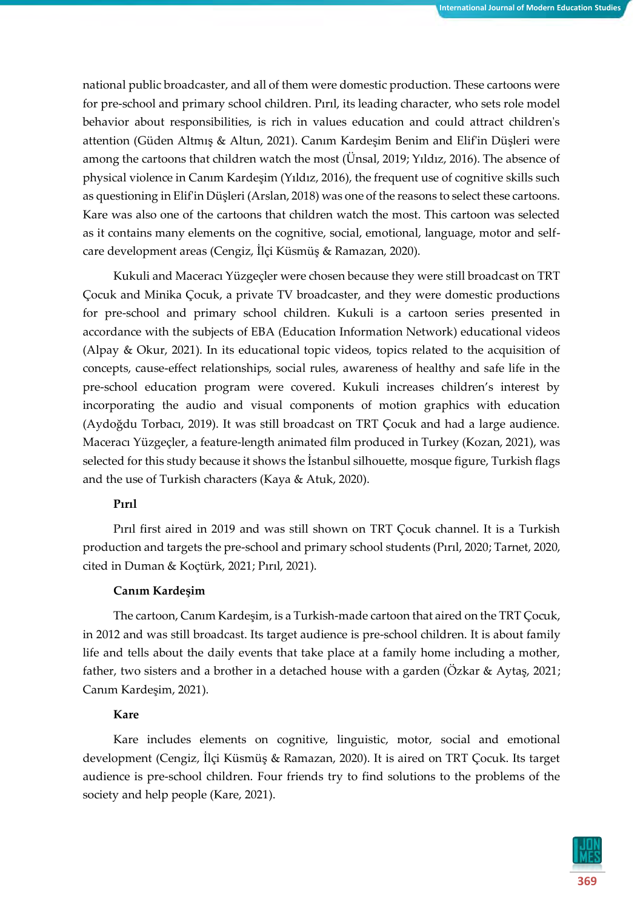national public broadcaster, and all of them were domestic production. These cartoons were for pre-school and primary school children. Pırıl, its leading character, who sets role model behavior about responsibilities, is rich in values education and could attract children's attention (Güden Altmış & Altun, 2021). Canım Kardeşim Benim and Elif'in Düşleri were among the cartoons that children watch the most (Ünsal, 2019; Yıldız, 2016). The absence of physical violence in Canım Kardeşim (Yıldız, 2016), the frequent use of cognitive skills such as questioning in Elif'in Düşleri (Arslan, 2018) was one of the reasons to select these cartoons. Kare was also one of the cartoons that children watch the most. This cartoon was selected as it contains many elements on the cognitive, social, emotional, language, motor and selfcare development areas (Cengiz, İlçi Küsmüş & Ramazan, 2020).

Kukuli and Maceracı Yüzgeçler were chosen because they were still broadcast on TRT Çocuk and Minika Çocuk, a private TV broadcaster, and they were domestic productions for pre-school and primary school children. Kukuli is a cartoon series presented in accordance with the subjects of EBA (Education Information Network) educational videos (Alpay & Okur, 2021). In its educational topic videos, topics related to the acquisition of concepts, cause-effect relationships, social rules, awareness of healthy and safe life in the pre-school education program were covered. Kukuli increases children's interest by incorporating the audio and visual components of motion graphics with education (Aydoğdu Torbacı, 2019). It was still broadcast on TRT Çocuk and had a large audience. Maceracı Yüzgeçler, a feature-length animated film produced in Turkey (Kozan, 2021), was selected for this study because it shows the İstanbul silhouette, mosque figure, Turkish flags and the use of Turkish characters (Kaya & Atuk, 2020).

## **Pırıl**

Pırıl first aired in 2019 and was still shown on TRT Çocuk channel. It is a Turkish production and targets the pre-school and primary school students (Pırıl, 2020; Tarnet, 2020, cited in Duman & Koçtürk, 2021; Pırıl, 2021).

#### **Canım Kardeşim**

The cartoon, Canım Kardeşim, is a Turkish-made cartoon that aired on the TRT Çocuk, in 2012 and was still broadcast. Its target audience is pre-school children. It is about family life and tells about the daily events that take place at a family home including a mother, father, two sisters and a brother in a detached house with a garden (Özkar & Aytaş, 2021; Canım Kardeşim, 2021).

## **Kare**

Kare includes elements on cognitive, linguistic, motor, social and emotional development (Cengiz, İlçi Küsmüş & Ramazan, 2020). It is aired on TRT Çocuk. Its target audience is pre-school children. Four friends try to find solutions to the problems of the society and help people (Kare, 2021).

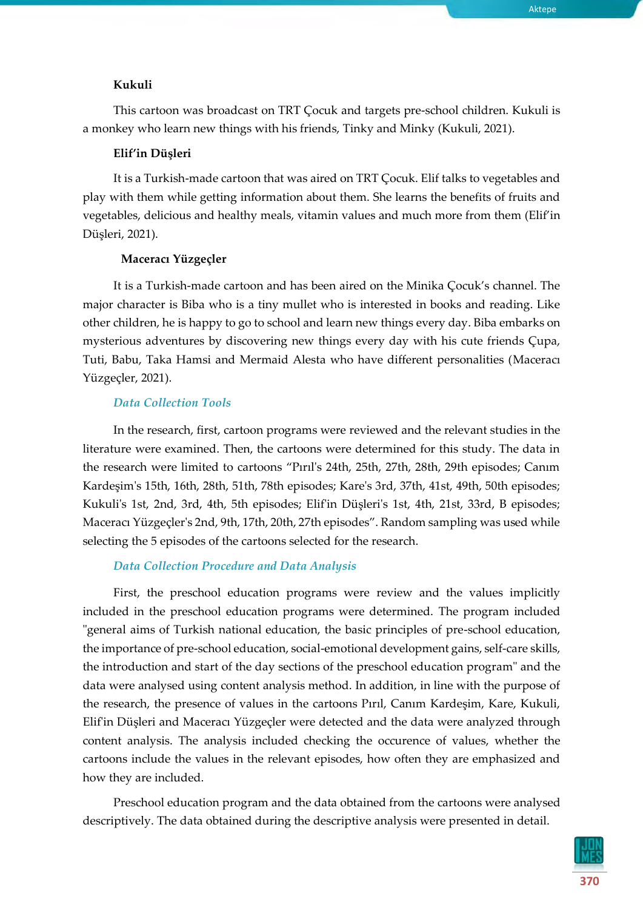#### **Kukuli**

This cartoon was broadcast on TRT Çocuk and targets pre-school children. Kukuli is a monkey who learn new things with his friends, Tinky and Minky (Kukuli, 2021).

## **Elif'in Düşleri**

It is a Turkish-made cartoon that was aired on TRT Çocuk. Elif talks to vegetables and play with them while getting information about them. She learns the benefits of fruits and vegetables, delicious and healthy meals, vitamin values and much more from them (Elif'in Düşleri, 2021).

#### **Maceracı Yüzgeçler**

It is a Turkish-made cartoon and has been aired on the Minika Çocuk's channel. The major character is Biba who is a tiny mullet who is interested in books and reading. Like other children, he is happy to go to school and learn new things every day. Biba embarks on mysterious adventures by discovering new things every day with his cute friends Çupa, Tuti, Babu, Taka Hamsi and Mermaid Alesta who have different personalities (Maceracı Yüzgeçler, 2021).

#### *Data Collection Tools*

In the research, first, cartoon programs were reviewed and the relevant studies in the literature were examined. Then, the cartoons were determined for this study. The data in the research were limited to cartoons "Pırıl's 24th, 25th, 27th, 28th, 29th episodes; Canım Kardeşim's 15th, 16th, 28th, 51th, 78th episodes; Kare's 3rd, 37th, 41st, 49th, 50th episodes; Kukuli's 1st, 2nd, 3rd, 4th, 5th episodes; Elif'in Düşleri's 1st, 4th, 21st, 33rd, B episodes; Maceracı Yüzgeçler's 2nd, 9th, 17th, 20th, 27th episodes". Random sampling was used while selecting the 5 episodes of the cartoons selected for the research.

## *Data Collection Procedure and Data Analysis*

First, the preschool education programs were review and the values implicitly included in the preschool education programs were determined. The program included "general aims of Turkish national education, the basic principles of pre-school education, the importance of pre-school education, social-emotional development gains, self-care skills, the introduction and start of the day sections of the preschool education program" and the data were analysed using content analysis method. In addition, in line with the purpose of the research, the presence of values in the cartoons Pırıl, Canım Kardeşim, Kare, Kukuli, Elif'in Düşleri and Maceracı Yüzgeçler were detected and the data were analyzed through content analysis. The analysis included checking the occurence of values, whether the cartoons include the values in the relevant episodes, how often they are emphasized and how they are included.

Preschool education program and the data obtained from the cartoons were analysed descriptively. The data obtained during the descriptive analysis were presented in detail.

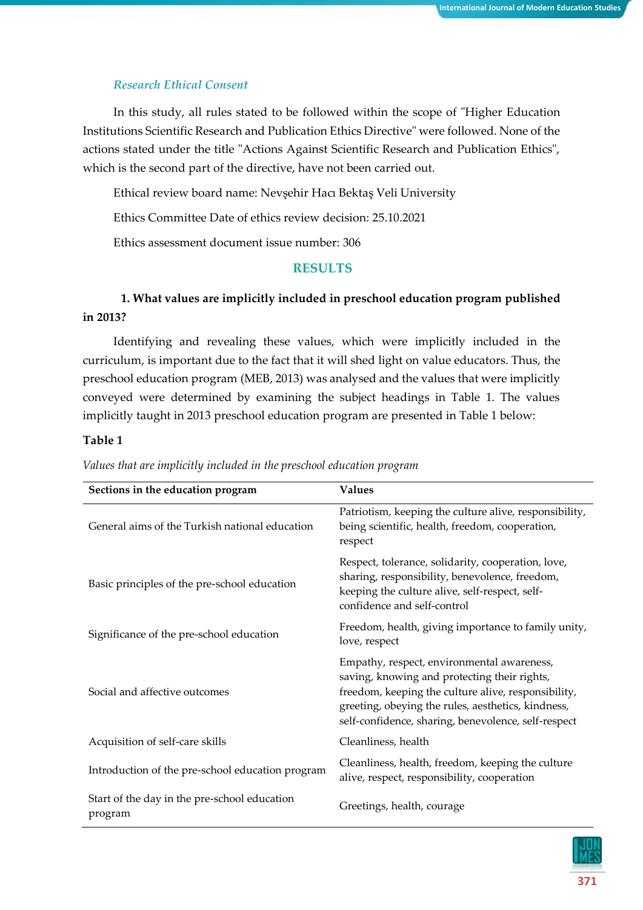#### *Research Ethical Consent*

In this study, all rules stated to be followed within the scope of "Higher Education Institutions Scientific Research and Publication Ethics Directive" were followed. None of the actions stated under the title "Actions Against Scientific Research and Publication Ethics", which is the second part of the directive, have not been carried out.

Ethical review board name: Nevşehir Hacı Bektaş Veli University

Ethics Committee Date of ethics review decision: 25.10.2021

Ethics assessment document issue number: 306

## **RESULTS**

## **1. What values are implicitly included in preschool education program published in 2013?**

Identifying and revealing these values, which were implicitly included in the curriculum, is important due to the fact that it will shed light on value educators. Thus, the preschool education program (MEB, 2013) was analysed and the values that were implicitly conveyed were determined by examining the subject headings in Table 1. The values implicitly taught in 2013 preschool education program are presented in Table 1 below:

#### **Table 1**

| Sections in the education program                       | <b>Values</b>                                                                                                                                                                                                                                                  |
|---------------------------------------------------------|----------------------------------------------------------------------------------------------------------------------------------------------------------------------------------------------------------------------------------------------------------------|
| General aims of the Turkish national education          | Patriotism, keeping the culture alive, responsibility,<br>being scientific, health, freedom, cooperation,<br>respect                                                                                                                                           |
| Basic principles of the pre-school education            | Respect, tolerance, solidarity, cooperation, love,<br>sharing, responsibility, benevolence, freedom,<br>keeping the culture alive, self-respect, self-<br>confidence and self-control                                                                          |
| Significance of the pre-school education                | Freedom, health, giving importance to family unity,<br>love, respect                                                                                                                                                                                           |
| Social and affective outcomes                           | Empathy, respect, environmental awareness,<br>saving, knowing and protecting their rights,<br>freedom, keeping the culture alive, responsibility,<br>greeting, obeying the rules, aesthetics, kindness,<br>self-confidence, sharing, benevolence, self-respect |
| Acquisition of self-care skills                         | Cleanliness, health                                                                                                                                                                                                                                            |
| Introduction of the pre-school education program        | Cleanliness, health, freedom, keeping the culture<br>alive, respect, responsibility, cooperation                                                                                                                                                               |
| Start of the day in the pre-school education<br>program | Greetings, health, courage                                                                                                                                                                                                                                     |

*Values that are implicitly included in the preschool education program*

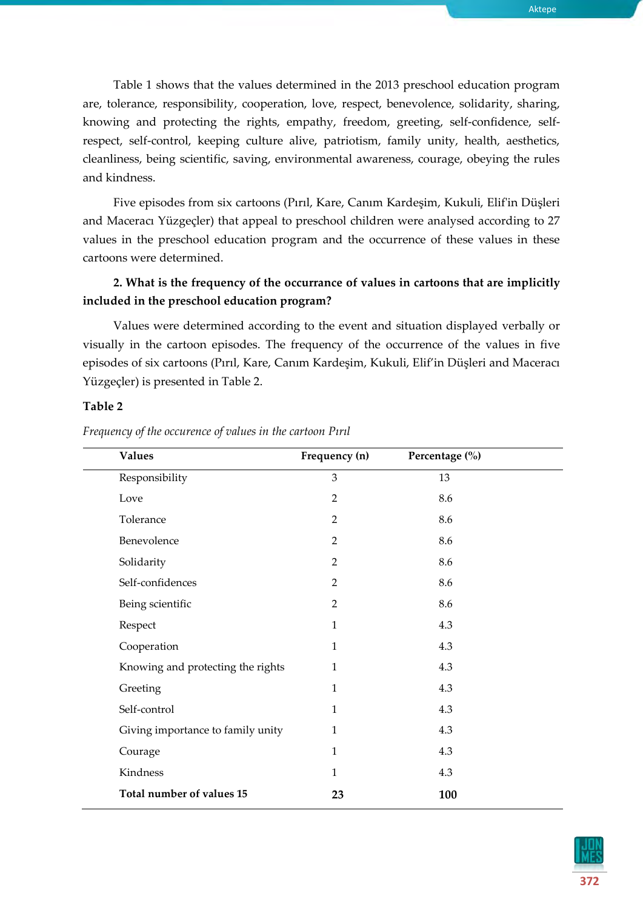Table 1 shows that the values determined in the 2013 preschool education program are, tolerance, responsibility, cooperation, love, respect, benevolence, solidarity, sharing, knowing and protecting the rights, empathy, freedom, greeting, self-confidence, selfrespect, self-control, keeping culture alive, patriotism, family unity, health, aesthetics, cleanliness, being scientific, saving, environmental awareness, courage, obeying the rules and kindness.

Five episodes from six cartoons (Pırıl, Kare, Canım Kardeşim, Kukuli, Elif'in Düşleri and Maceracı Yüzgeçler) that appeal to preschool children were analysed according to 27 values in the preschool education program and the occurrence of these values in these cartoons were determined.

## **2. What is the frequency of the occurrance of values in cartoons that are implicitly included in the preschool education program?**

Values were determined according to the event and situation displayed verbally or visually in the cartoon episodes. The frequency of the occurrence of the values in five episodes of six cartoons (Pırıl, Kare, Canım Kardeşim, Kukuli, Elif'in Düşleri and Maceracı Yüzgeçler) is presented in Table 2.

## **Table 2**

| <b>Values</b>                     | Frequency (n)  | Percentage (%) |  |
|-----------------------------------|----------------|----------------|--|
| Responsibility                    | 3              | 13             |  |
| Love                              | $\overline{2}$ | 8.6            |  |
| Tolerance                         | $\overline{2}$ | 8.6            |  |
| Benevolence                       | $\overline{2}$ | 8.6            |  |
| Solidarity                        | $\overline{2}$ | 8.6            |  |
| Self-confidences                  | $\overline{2}$ | 8.6            |  |
| Being scientific                  | $\overline{2}$ | 8.6            |  |
| Respect                           | $\mathbf{1}$   | 4.3            |  |
| Cooperation                       | $\mathbf{1}$   | 4.3            |  |
| Knowing and protecting the rights | $\mathbf{1}$   | 4.3            |  |
| Greeting                          | $\mathbf{1}$   | 4.3            |  |
| Self-control                      | $\mathbf{1}$   | 4.3            |  |
| Giving importance to family unity | $\mathbf{1}$   | 4.3            |  |
| Courage                           | $\mathbf{1}$   | 4.3            |  |
| Kindness                          | $\mathbf{1}$   | 4.3            |  |
| Total number of values 15         | 23             | 100            |  |

*Frequency of the occurence of values in the cartoon Pırıl*

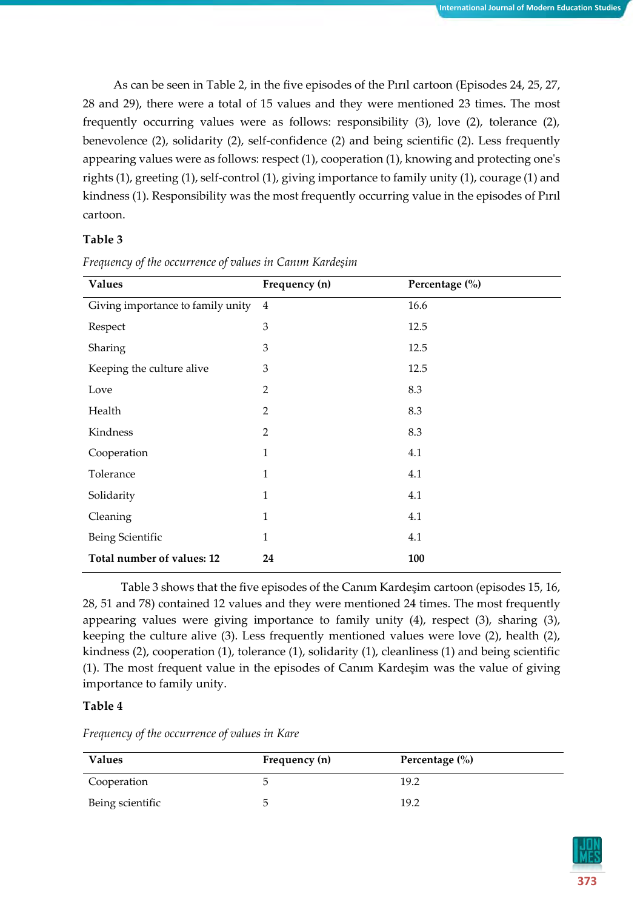As can be seen in Table 2, in the five episodes of the Pırıl cartoon (Episodes 24, 25, 27, 28 and 29), there were a total of 15 values and they were mentioned 23 times. The most frequently occurring values were as follows: responsibility (3), love (2), tolerance (2), benevolence (2), solidarity (2), self-confidence (2) and being scientific (2). Less frequently appearing values were as follows: respect (1), cooperation (1), knowing and protecting one's rights (1), greeting (1), self-control (1), giving importance to family unity (1), courage (1) and kindness (1). Responsibility was the most frequently occurring value in the episodes of Pırıl cartoon.

#### **Table 3**

| <b>Values</b>                     | Frequency (n)  | Percentage (%) |
|-----------------------------------|----------------|----------------|
| Giving importance to family unity | 4              | 16.6           |
| Respect                           | 3              | 12.5           |
| Sharing                           | $\mathfrak{Z}$ | 12.5           |
| Keeping the culture alive         | 3              | 12.5           |
| Love                              | $\overline{2}$ | 8.3            |
| Health                            | $\overline{2}$ | 8.3            |
| Kindness                          | $\overline{2}$ | 8.3            |
| Cooperation                       | $\mathbf{1}$   | 4.1            |
| Tolerance                         | $\mathbf{1}$   | 4.1            |
| Solidarity                        | $\mathbf{1}$   | 4.1            |
| Cleaning                          | $\mathbf{1}$   | 4.1            |
| Being Scientific                  | $\mathbf{1}$   | 4.1            |
| Total number of values: 12        | 24             | 100            |

*Frequency of the occurrence of values in Canım Kardeşim*

Table 3 shows that the five episodes of the Canım Kardeşim cartoon (episodes 15, 16, 28, 51 and 78) contained 12 values and they were mentioned 24 times. The most frequently appearing values were giving importance to family unity (4), respect (3), sharing (3), keeping the culture alive (3). Less frequently mentioned values were love (2), health (2), kindness (2), cooperation (1), tolerance (1), solidarity (1), cleanliness (1) and being scientific (1). The most frequent value in the episodes of Canım Kardeşim was the value of giving importance to family unity.

#### **Table 4**

*Frequency of the occurrence of values in Kare*

| <b>Values</b>    | Frequency (n) | Percentage $(\% )$ |
|------------------|---------------|--------------------|
| Cooperation      | G             | 19.2               |
| Being scientific | C             | 19.2               |

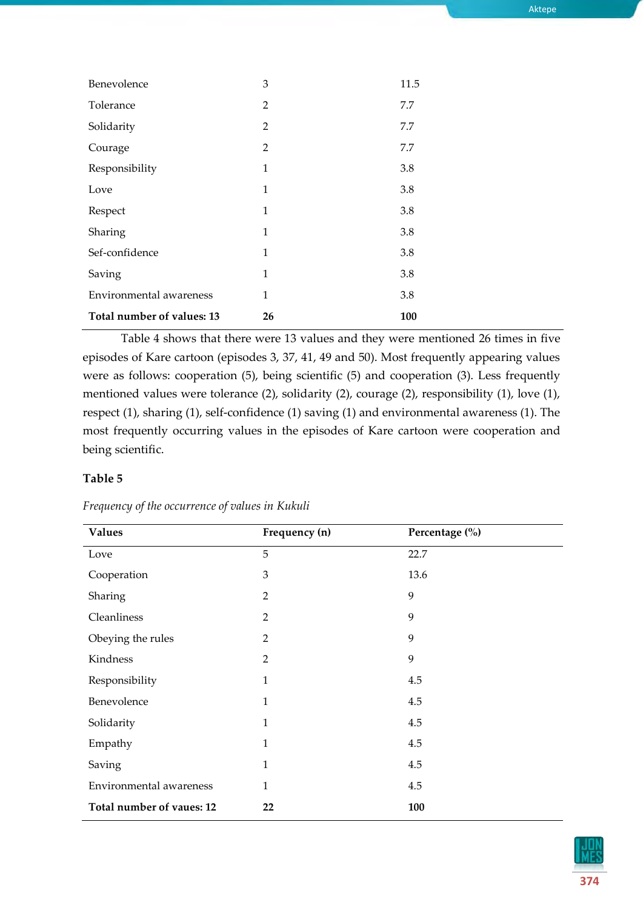| Aktepe |  |
|--------|--|

| Benevolence                | 3              | 11.5 |
|----------------------------|----------------|------|
| Tolerance                  | $\overline{2}$ | 7.7  |
| Solidarity                 | $\overline{2}$ | 7.7  |
| Courage                    | $\overline{2}$ | 7.7  |
| Responsibility             | $\mathbf{1}$   | 3.8  |
| Love                       | $\mathbf{1}$   | 3.8  |
| Respect                    | 1              | 3.8  |
| Sharing                    | 1              | 3.8  |
| Sef-confidence             | 1              | 3.8  |
| Saving                     | 1              | 3.8  |
| Environmental awareness    | 1              | 3.8  |
| Total number of values: 13 | 26             | 100  |
|                            |                |      |

Table 4 shows that there were 13 values and they were mentioned 26 times in five episodes of Kare cartoon (episodes 3, 37, 41, 49 and 50). Most frequently appearing values were as follows: cooperation (5), being scientific (5) and cooperation (3). Less frequently mentioned values were tolerance (2), solidarity (2), courage (2), responsibility (1), love (1), respect (1), sharing (1), self-confidence (1) saving (1) and environmental awareness (1). The most frequently occurring values in the episodes of Kare cartoon were cooperation and being scientific.

## **Table 5**

| <b>Values</b>             | Frequency (n)  | Percentage (%) |
|---------------------------|----------------|----------------|
| Love                      | 5              | 22.7           |
| Cooperation               | 3              | 13.6           |
| Sharing                   | 2              | 9              |
| Cleanliness               | $\overline{2}$ | 9              |
| Obeying the rules         | $\mathbf{2}$   | 9              |
| Kindness                  | $\overline{2}$ | 9              |
| Responsibility            | 1              | 4.5            |
| Benevolence               | $\mathbf{1}$   | 4.5            |
| Solidarity                | $\mathbf{1}$   | 4.5            |
| Empathy                   | $\mathbf{1}$   | 4.5            |
| Saving                    | 1              | 4.5            |
| Environmental awareness   | 1              | 4.5            |
| Total number of vaues: 12 | 22             | 100            |

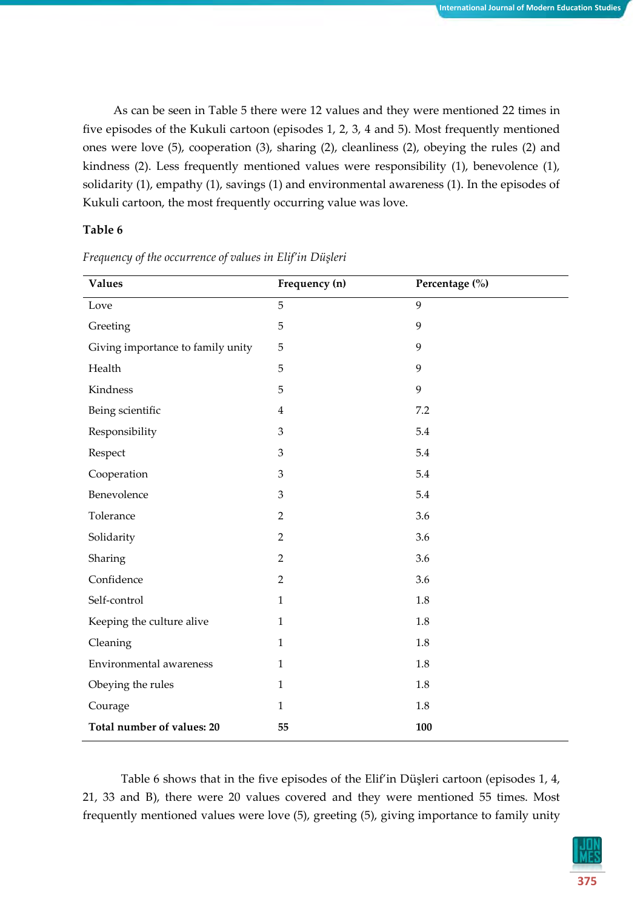As can be seen in Table 5 there were 12 values and they were mentioned 22 times in five episodes of the Kukuli cartoon (episodes 1, 2, 3, 4 and 5). Most frequently mentioned ones were love (5), cooperation (3), sharing (2), cleanliness (2), obeying the rules (2) and kindness (2). Less frequently mentioned values were responsibility (1), benevolence (1), solidarity (1), empathy (1), savings (1) and environmental awareness (1). In the episodes of Kukuli cartoon, the most frequently occurring value was love.

## **Table 6**

| <b>Values</b>                     | Frequency (n)  | Percentage (%) |
|-----------------------------------|----------------|----------------|
| Love                              | 5              | 9              |
| Greeting                          | $\mathbf 5$    | 9              |
| Giving importance to family unity | 5              | 9              |
| Health                            | 5              | 9              |
| Kindness                          | $\mathbf 5$    | 9              |
| Being scientific                  | $\overline{4}$ | 7.2            |
| Responsibility                    | 3              | 5.4            |
| Respect                           | 3              | 5.4            |
| Cooperation                       | 3              | 5.4            |
| Benevolence                       | 3              | 5.4            |
| Tolerance                         | $\overline{2}$ | 3.6            |
| Solidarity                        | $\overline{2}$ | 3.6            |
| Sharing                           | $\overline{2}$ | 3.6            |
| Confidence                        | $\overline{2}$ | 3.6            |
| Self-control                      | $\mathbf{1}$   | 1.8            |
| Keeping the culture alive         | $\mathbf{1}$   | 1.8            |
| Cleaning                          | 1              | 1.8            |
| Environmental awareness           | $\mathbf{1}$   | 1.8            |
| Obeying the rules                 | $\mathbf{1}$   | 1.8            |
| Courage                           | $\mathbf{1}$   | 1.8            |
| Total number of values: 20        | 55             | 100            |

*Frequency of the occurrence of values in Elif'in Düşleri*

Table 6 shows that in the five episodes of the Elif'in Düşleri cartoon (episodes 1, 4, 21, 33 and B), there were 20 values covered and they were mentioned 55 times. Most frequently mentioned values were love (5), greeting (5), giving importance to family unity

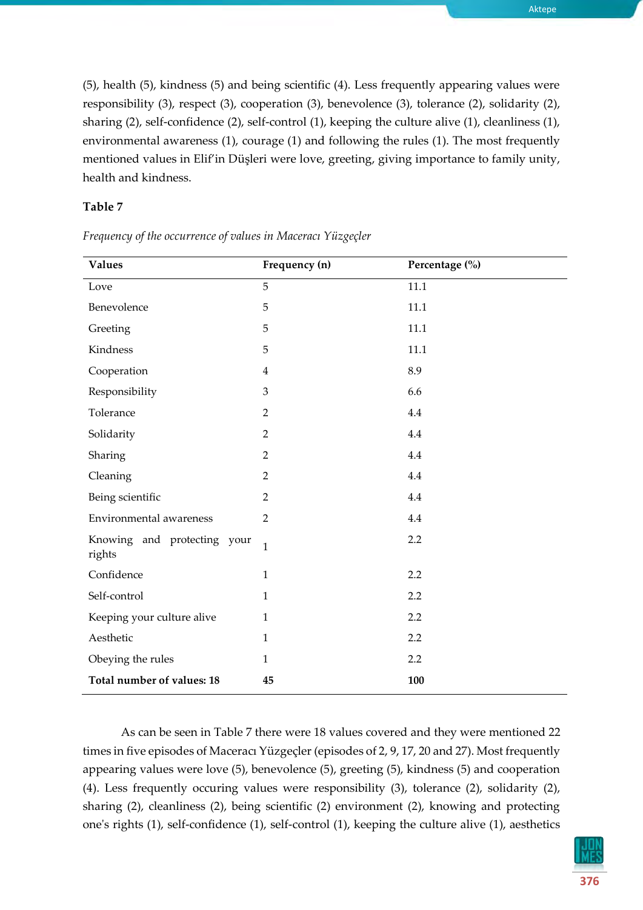Aktepe

(5), health (5), kindness (5) and being scientific (4). Less frequently appearing values were responsibility (3), respect (3), cooperation (3), benevolence (3), tolerance (2), solidarity (2), sharing (2), self-confidence (2), self-control (1), keeping the culture alive (1), cleanliness (1), environmental awareness (1), courage (1) and following the rules (1). The most frequently mentioned values in Elif'in Düşleri were love, greeting, giving importance to family unity, health and kindness.

## **Table 7**

| <b>Values</b>                         | Frequency (n)  | Percentage (%) |
|---------------------------------------|----------------|----------------|
| Love                                  | 5              | 11.1           |
| Benevolence                           | 5              | 11.1           |
| Greeting                              | 5              | 11.1           |
| Kindness                              | 5              | 11.1           |
| Cooperation                           | $\overline{4}$ | 8.9            |
| Responsibility                        | 3              | 6.6            |
| Tolerance                             | $\overline{2}$ | 4.4            |
| Solidarity                            | $\overline{2}$ | 4.4            |
| Sharing                               | $\overline{2}$ | 4.4            |
| Cleaning                              | $\overline{2}$ | 4.4            |
| Being scientific                      | $\overline{2}$ | 4.4            |
| Environmental awareness               | $\overline{2}$ | 4.4            |
| Knowing and protecting your<br>rights | $\mathbf{1}$   | 2.2            |
| Confidence                            | $\mathbf{1}$   | 2.2            |
| Self-control                          | $\mathbf{1}$   | 2.2            |
| Keeping your culture alive            | $\mathbf{1}$   | 2.2            |
| Aesthetic                             | $\mathbf{1}$   | 2.2            |
| Obeying the rules                     | $\mathbf{1}$   | 2.2            |
| Total number of values: 18            | 45             | 100            |

*Frequency of the occurrence of values in Maceracı Yüzgeçler*

As can be seen in Table 7 there were 18 values covered and they were mentioned 22 times in five episodes of Maceracı Yüzgeçler (episodes of 2, 9, 17, 20 and 27). Most frequently appearing values were love (5), benevolence (5), greeting (5), kindness (5) and cooperation (4). Less frequently occuring values were responsibility (3), tolerance (2), solidarity (2), sharing (2), cleanliness (2), being scientific (2) environment (2), knowing and protecting one's rights (1), self-confidence (1), self-control (1), keeping the culture alive (1), aesthetics

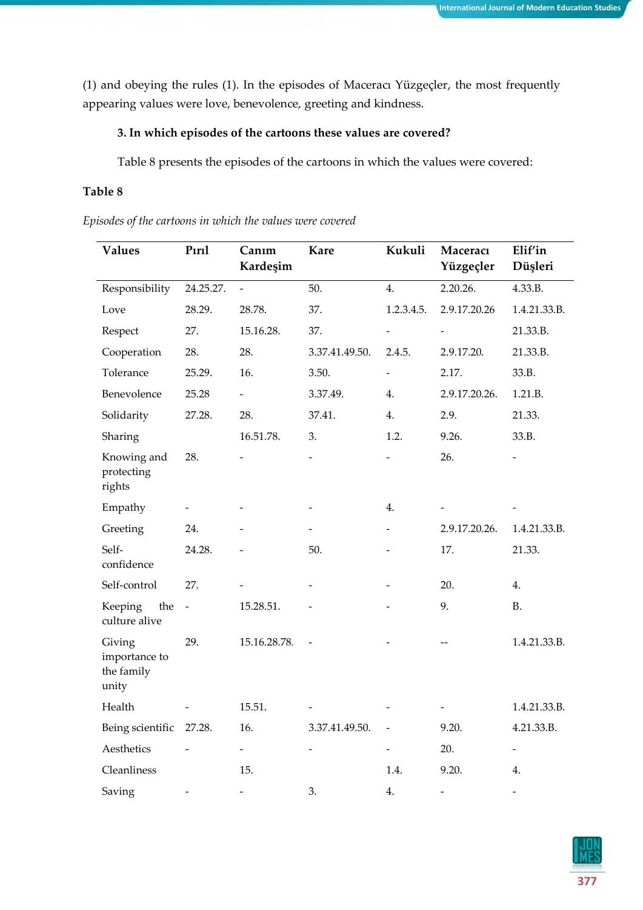(1) and obeying the rules (1). In the episodes of Maceracı Yüzgeçler, the most frequently appearing values were love, benevolence, greeting and kindness.

## **3. In which episodes of the cartoons these values are covered?**

Table 8 presents the episodes of the cartoons in which the values were covered:

## **Table 8**

*Episodes of the cartoons in which the values were covered*

| <b>Values</b>                                  | Pırıl         | Canım<br>Kardeşim        | <b>Kare</b>    | Kukuli                   | Maceracı<br>Yüzgeçler    | Elif'in<br>Düşleri       |
|------------------------------------------------|---------------|--------------------------|----------------|--------------------------|--------------------------|--------------------------|
| Responsibility                                 | 24.25.27.     | $\overline{\phantom{0}}$ | 50.            | 4.                       | 2.20.26.                 | 4.33.B.                  |
| Love                                           | 28.29.        | 28.78.                   | 37.            | 1.2.3.4.5.               | 2.9.17.20.26             | 1.4.21.33.B.             |
| Respect                                        | 27.           | 15.16.28.                | 37.            |                          |                          | 21.33.B.                 |
| Cooperation                                    | 28.           | 28.                      | 3.37.41.49.50. | 2.4.5.                   | 2.9.17.20.               | 21.33.B.                 |
| Tolerance                                      | 25.29.        | 16.                      | 3.50.          | $\overline{a}$           | 2.17.                    | 33.B.                    |
| Benevolence                                    | 25.28         | $\overline{\phantom{a}}$ | 3.37.49.       | 4.                       | 2.9.17.20.26.            | 1.21.B.                  |
| Solidarity                                     | 27.28.        | 28.                      | 37.41.         | 4.                       | 2.9.                     | 21.33.                   |
| Sharing                                        |               | 16.51.78.                | 3.             | 1.2.                     | 9.26.                    | 33.B.                    |
| Knowing and<br>protecting<br>rights            | 28.           |                          |                |                          | 26.                      |                          |
| Empathy                                        |               |                          |                | 4.                       |                          |                          |
| Greeting                                       | 24.           |                          |                |                          | 2.9.17.20.26.            | 1.4.21.33.B.             |
| Self-<br>confidence                            | 24.28.        |                          | 50.            |                          | 17.                      | 21.33.                   |
| Self-control                                   | 27.           |                          |                |                          | 20.                      | 4.                       |
| Keeping<br>the<br>culture alive                | $\frac{1}{2}$ | 15.28.51.                |                |                          | 9.                       | <b>B.</b>                |
| Giving<br>importance to<br>the family<br>unity | 29.           | 15.16.28.78.             |                |                          |                          | 1.4.21.33.B.             |
| Health                                         |               | 15.51.                   |                |                          |                          | 1.4.21.33.B.             |
| Being scientific                               | 27.28.        | 16.                      | 3.37.41.49.50. | $\overline{\phantom{0}}$ | 9.20.                    | 4.21.33.B.               |
| Aesthetics                                     |               |                          |                |                          | 20.                      | $\overline{\phantom{a}}$ |
| Cleanliness                                    |               | 15.                      |                | 1.4.                     | 9.20.                    | 4.                       |
| Saving                                         |               | $\overline{a}$           | 3.             | 4.                       | $\overline{\phantom{a}}$ | $\overline{\phantom{a}}$ |

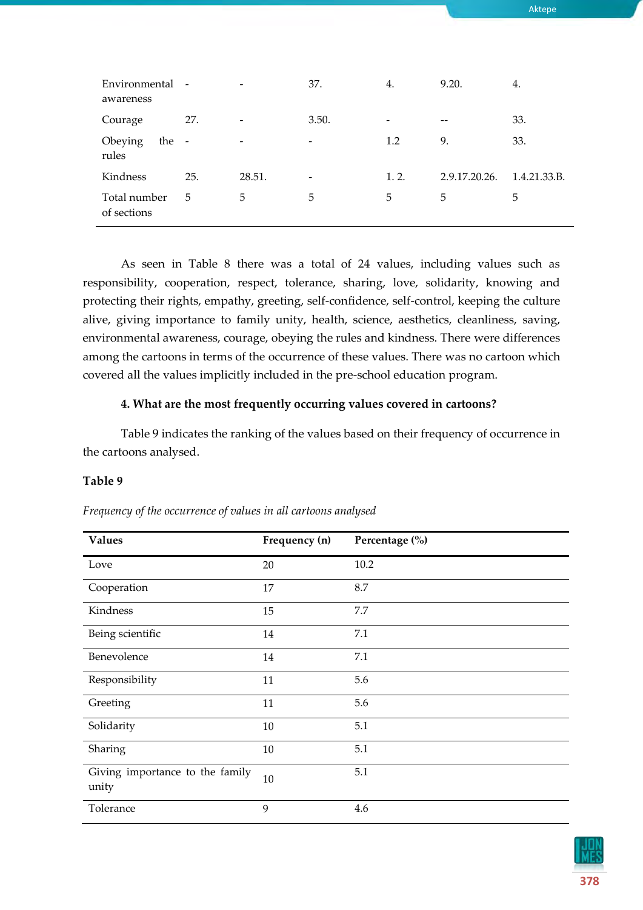| Environmental -<br>awareness |                |                          | 37.   | 4.    | 9.20.         | 4.           |
|------------------------------|----------------|--------------------------|-------|-------|---------------|--------------|
| Courage                      | 27.            | $\overline{\phantom{a}}$ | 3.50. |       | --            | 33.          |
| Obeying<br>the<br>rules      | $\overline{a}$ | $\overline{\phantom{a}}$ | -     | 1.2   | 9.            | 33.          |
| Kindness                     | 25.            | 28.51.                   |       | 1, 2. | 2.9.17.20.26. | 1.4.21.33.B. |
| Total number<br>of sections  | 5              | 5                        | 5     | 5     | 5             | 5            |

As seen in Table 8 there was a total of 24 values, including values such as responsibility, cooperation, respect, tolerance, sharing, love, solidarity, knowing and protecting their rights, empathy, greeting, self-confidence, self-control, keeping the culture alive, giving importance to family unity, health, science, aesthetics, cleanliness, saving, environmental awareness, courage, obeying the rules and kindness. There were differences among the cartoons in terms of the occurrence of these values. There was no cartoon which covered all the values implicitly included in the pre-school education program.

## **4. What are the most frequently occurring values covered in cartoons?**

Table 9 indicates the ranking of the values based on their frequency of occurrence in the cartoons analysed.

## **Table 9**

| <b>Values</b>                            | Frequency (n) | Percentage (%) |
|------------------------------------------|---------------|----------------|
| Love                                     | 20            | 10.2           |
| Cooperation                              | 17            | 8.7            |
| Kindness                                 | 15            | 7.7            |
| Being scientific                         | 14            | 7.1            |
| Benevolence                              | 14            | 7.1            |
| Responsibility                           | 11            | 5.6            |
| Greeting                                 | 11            | 5.6            |
| Solidarity                               | 10            | 5.1            |
| Sharing                                  | 10            | 5.1            |
| Giving importance to the family<br>unity | 10            | 5.1            |
| Tolerance                                | 9             | 4.6            |

## *Frequency of the occurrence of values in all cartoons analysed*



Aktepe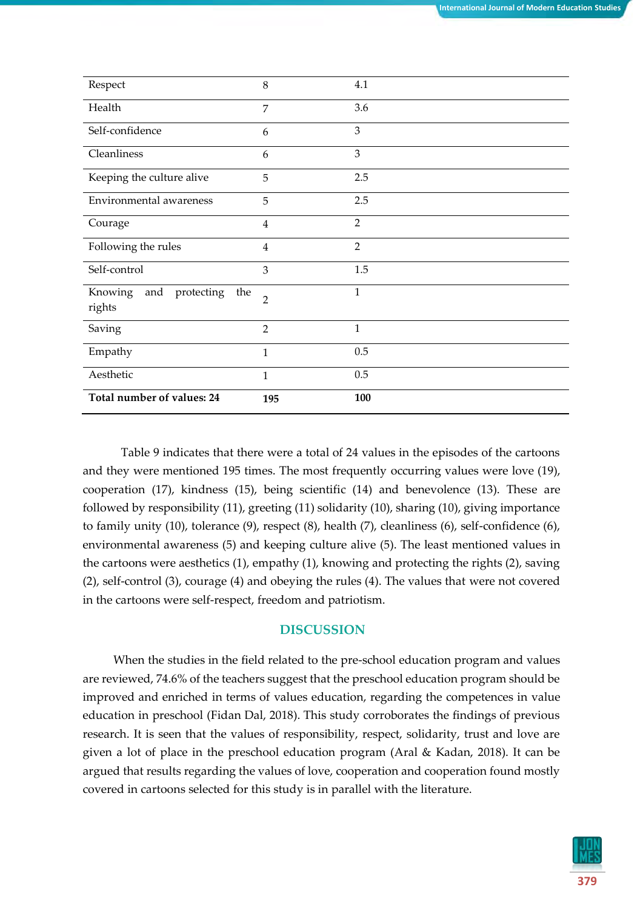| Respect                                       | 8              | 4.1            |
|-----------------------------------------------|----------------|----------------|
| Health                                        | 7              | 3.6            |
| Self-confidence                               | 6              | 3              |
| Cleanliness                                   | 6              | 3              |
| Keeping the culture alive                     | 5              | 2.5            |
| Environmental awareness                       | 5              | 2.5            |
| Courage                                       | $\overline{4}$ | $\overline{2}$ |
| Following the rules                           | $\overline{4}$ | $\overline{2}$ |
| Self-control                                  | 3              | 1.5            |
| Knowing<br>and<br>protecting<br>the<br>rights | $\overline{2}$ | $\mathbf{1}$   |
| Saving                                        | $\overline{2}$ | $\mathbf{1}$   |
| Empathy                                       | $\mathbf{1}$   | 0.5            |
| Aesthetic                                     | $\mathbf{1}$   | 0.5            |
| Total number of values: 24                    | 195            | 100            |

Table 9 indicates that there were a total of 24 values in the episodes of the cartoons and they were mentioned 195 times. The most frequently occurring values were love (19), cooperation (17), kindness (15), being scientific (14) and benevolence (13). These are followed by responsibility (11), greeting (11) solidarity (10), sharing (10), giving importance to family unity (10), tolerance (9), respect (8), health (7), cleanliness (6), self-confidence (6), environmental awareness (5) and keeping culture alive (5). The least mentioned values in the cartoons were aesthetics (1), empathy (1), knowing and protecting the rights (2), saving (2), self-control (3), courage (4) and obeying the rules (4). The values that were not covered in the cartoons were self-respect, freedom and patriotism.

## **DISCUSSION**

When the studies in the field related to the pre-school education program and values are reviewed, 74.6% of the teachers suggest that the preschool education program should be improved and enriched in terms of values education, regarding the competences in value education in preschool (Fidan Dal, 2018). This study corroborates the findings of previous research. It is seen that the values of responsibility, respect, solidarity, trust and love are given a lot of place in the preschool education program (Aral & Kadan, 2018). It can be argued that results regarding the values of love, cooperation and cooperation found mostly covered in cartoons selected for this study is in parallel with the literature.

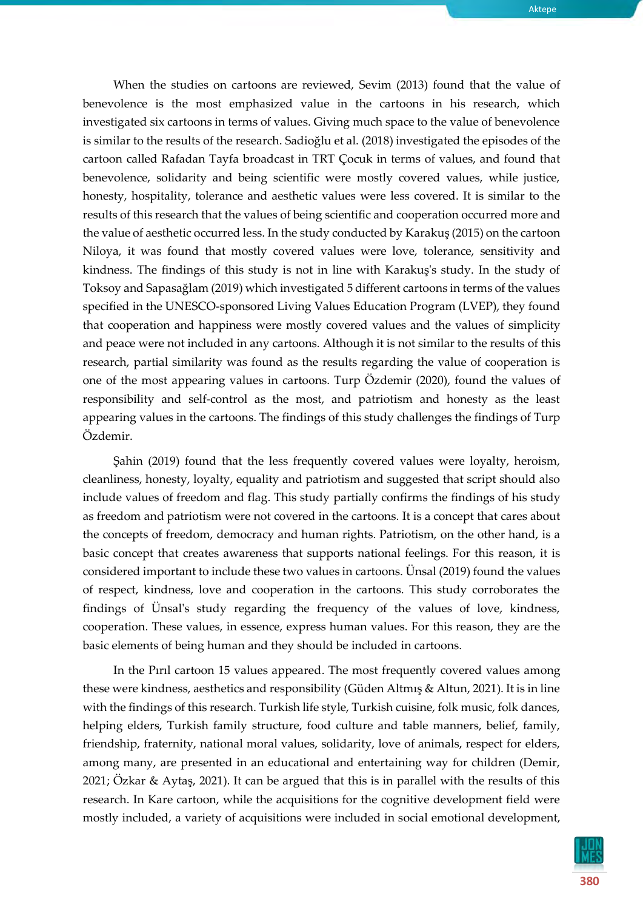When the studies on cartoons are reviewed, Sevim (2013) found that the value of benevolence is the most emphasized value in the cartoons in his research, which investigated six cartoons in terms of values. Giving much space to the value of benevolence is similar to the results of the research. Sadioğlu et al. (2018) investigated the episodes of the cartoon called Rafadan Tayfa broadcast in TRT Çocuk in terms of values, and found that benevolence, solidarity and being scientific were mostly covered values, while justice, honesty, hospitality, tolerance and aesthetic values were less covered. It is similar to the results of this research that the values of being scientific and cooperation occurred more and the value of aesthetic occurred less. In the study conducted by Karakuş (2015) on the cartoon Niloya, it was found that mostly covered values were love, tolerance, sensitivity and kindness. The findings of this study is not in line with Karakuş's study. In the study of Toksoy and Sapasağlam (2019) which investigated 5 different cartoons in terms of the values specified in the UNESCO-sponsored Living Values Education Program (LVEP), they found that cooperation and happiness were mostly covered values and the values of simplicity and peace were not included in any cartoons. Although it is not similar to the results of this research, partial similarity was found as the results regarding the value of cooperation is one of the most appearing values in cartoons. Turp Özdemir (2020), found the values of responsibility and self-control as the most, and patriotism and honesty as the least appearing values in the cartoons. The findings of this study challenges the findings of Turp Özdemir.

Şahin (2019) found that the less frequently covered values were loyalty, heroism, cleanliness, honesty, loyalty, equality and patriotism and suggested that script should also include values of freedom and flag. This study partially confirms the findings of his study as freedom and patriotism were not covered in the cartoons. It is a concept that cares about the concepts of freedom, democracy and human rights. Patriotism, on the other hand, is a basic concept that creates awareness that supports national feelings. For this reason, it is considered important to include these two values in cartoons. Ünsal (2019) found the values of respect, kindness, love and cooperation in the cartoons. This study corroborates the findings of Ünsal's study regarding the frequency of the values of love, kindness, cooperation. These values, in essence, express human values. For this reason, they are the basic elements of being human and they should be included in cartoons.

In the Pırıl cartoon 15 values appeared. The most frequently covered values among these were kindness, aesthetics and responsibility (Güden Altmış & Altun, 2021). It is in line with the findings of this research. Turkish life style, Turkish cuisine, folk music, folk dances, helping elders, Turkish family structure, food culture and table manners, belief, family, friendship, fraternity, national moral values, solidarity, love of animals, respect for elders, among many, are presented in an educational and entertaining way for children (Demir, 2021; Özkar & Aytaş, 2021). It can be argued that this is in parallel with the results of this research. In Kare cartoon, while the acquisitions for the cognitive development field were mostly included, a variety of acquisitions were included in social emotional development,

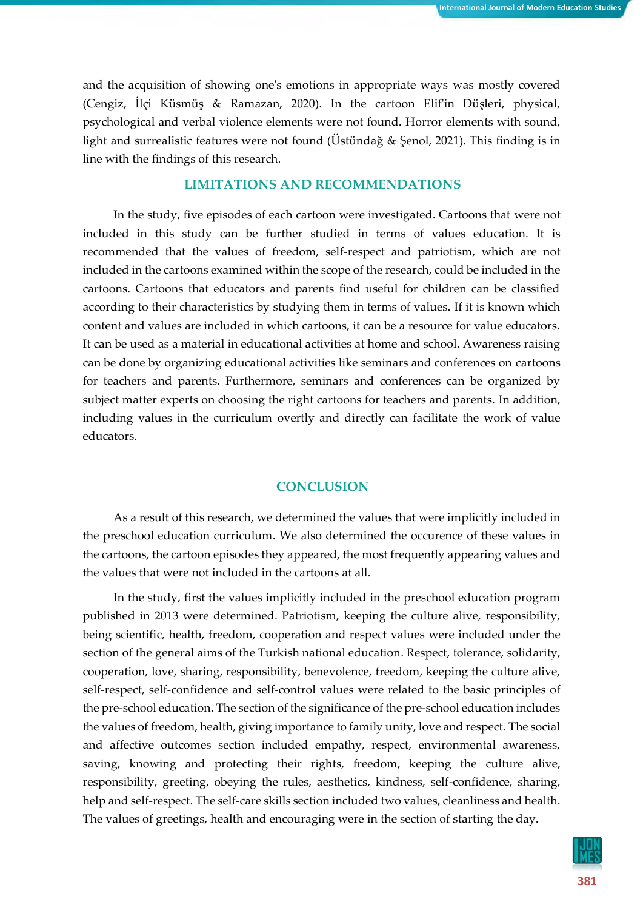and the acquisition of showing one's emotions in appropriate ways was mostly covered (Cengiz, İlçi Küsmüş & Ramazan, 2020). In the cartoon Elif'in Düşleri, physical, psychological and verbal violence elements were not found. Horror elements with sound, light and surrealistic features were not found (Üstündağ & Şenol, 2021). This finding is in line with the findings of this research.

## **LIMITATIONS AND RECOMMENDATIONS**

In the study, five episodes of each cartoon were investigated. Cartoons that were not included in this study can be further studied in terms of values education. It is recommended that the values of freedom, self-respect and patriotism, which are not included in the cartoons examined within the scope of the research, could be included in the cartoons. Cartoons that educators and parents find useful for children can be classified according to their characteristics by studying them in terms of values. If it is known which content and values are included in which cartoons, it can be a resource for value educators. It can be used as a material in educational activities at home and school. Awareness raising can be done by organizing educational activities like seminars and conferences on cartoons for teachers and parents. Furthermore, seminars and conferences can be organized by subject matter experts on choosing the right cartoons for teachers and parents. In addition, including values in the curriculum overtly and directly can facilitate the work of value educators.

## **CONCLUSION**

As a result of this research, we determined the values that were implicitly included in the preschool education curriculum. We also determined the occurence of these values in the cartoons, the cartoon episodes they appeared, the most frequently appearing values and the values that were not included in the cartoons at all.

In the study, first the values implicitly included in the preschool education program published in 2013 were determined. Patriotism, keeping the culture alive, responsibility, being scientific, health, freedom, cooperation and respect values were included under the section of the general aims of the Turkish national education. Respect, tolerance, solidarity, cooperation, love, sharing, responsibility, benevolence, freedom, keeping the culture alive, self-respect, self-confidence and self-control values were related to the basic principles of the pre-school education. The section of the significance of the pre-school education includes the values of freedom, health, giving importance to family unity, love and respect. The social and affective outcomes section included empathy, respect, environmental awareness, saving, knowing and protecting their rights, freedom, keeping the culture alive, responsibility, greeting, obeying the rules, aesthetics, kindness, self-confidence, sharing, help and self-respect. The self-care skills section included two values, cleanliness and health. The values of greetings, health and encouraging were in the section of starting the day.

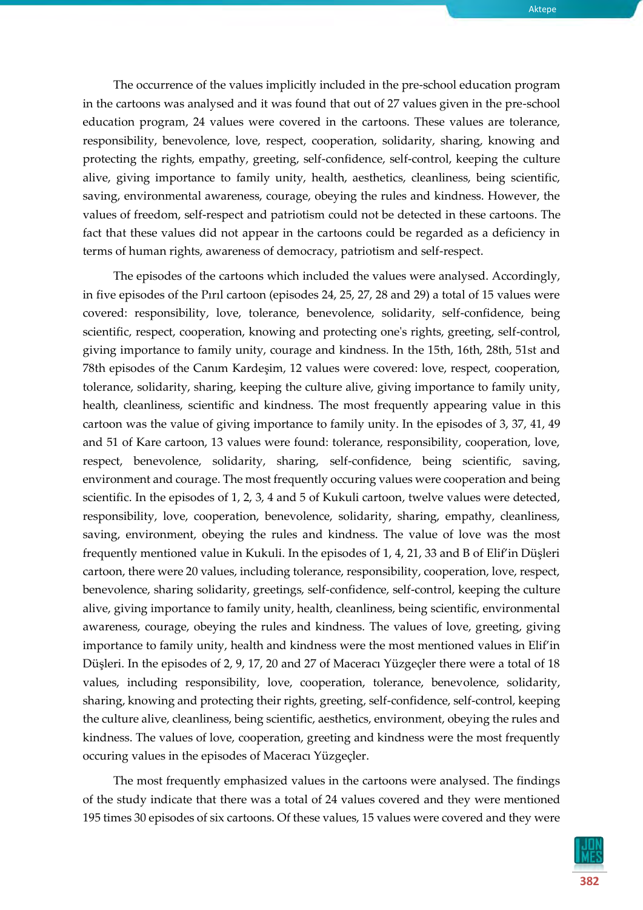

The occurrence of the values implicitly included in the pre-school education program in the cartoons was analysed and it was found that out of 27 values given in the pre-school education program, 24 values were covered in the cartoons. These values are tolerance, responsibility, benevolence, love, respect, cooperation, solidarity, sharing, knowing and protecting the rights, empathy, greeting, self-confidence, self-control, keeping the culture alive, giving importance to family unity, health, aesthetics, cleanliness, being scientific, saving, environmental awareness, courage, obeying the rules and kindness. However, the values of freedom, self-respect and patriotism could not be detected in these cartoons. The fact that these values did not appear in the cartoons could be regarded as a deficiency in terms of human rights, awareness of democracy, patriotism and self-respect.

The episodes of the cartoons which included the values were analysed. Accordingly, in five episodes of the Pırıl cartoon (episodes 24, 25, 27, 28 and 29) a total of 15 values were covered: responsibility, love, tolerance, benevolence, solidarity, self-confidence, being scientific, respect, cooperation, knowing and protecting one's rights, greeting, self-control, giving importance to family unity, courage and kindness. In the 15th, 16th, 28th, 51st and 78th episodes of the Canım Kardeşim, 12 values were covered: love, respect, cooperation, tolerance, solidarity, sharing, keeping the culture alive, giving importance to family unity, health, cleanliness, scientific and kindness. The most frequently appearing value in this cartoon was the value of giving importance to family unity. In the episodes of 3, 37, 41, 49 and 51 of Kare cartoon, 13 values were found: tolerance, responsibility, cooperation, love, respect, benevolence, solidarity, sharing, self-confidence, being scientific, saving, environment and courage. The most frequently occuring values were cooperation and being scientific. In the episodes of 1, 2, 3, 4 and 5 of Kukuli cartoon, twelve values were detected, responsibility, love, cooperation, benevolence, solidarity, sharing, empathy, cleanliness, saving, environment, obeying the rules and kindness. The value of love was the most frequently mentioned value in Kukuli. In the episodes of 1, 4, 21, 33 and B of Elif'in Düşleri cartoon, there were 20 values, including tolerance, responsibility, cooperation, love, respect, benevolence, sharing solidarity, greetings, self-confidence, self-control, keeping the culture alive, giving importance to family unity, health, cleanliness, being scientific, environmental awareness, courage, obeying the rules and kindness. The values of love, greeting, giving importance to family unity, health and kindness were the most mentioned values in Elif'in Düşleri. In the episodes of 2, 9, 17, 20 and 27 of Maceracı Yüzgeçler there were a total of 18 values, including responsibility, love, cooperation, tolerance, benevolence, solidarity, sharing, knowing and protecting their rights, greeting, self-confidence, self-control, keeping the culture alive, cleanliness, being scientific, aesthetics, environment, obeying the rules and kindness. The values of love, cooperation, greeting and kindness were the most frequently occuring values in the episodes of Maceracı Yüzgeçler.

The most frequently emphasized values in the cartoons were analysed. The findings of the study indicate that there was a total of 24 values covered and they were mentioned 195 times 30 episodes of six cartoons. Of these values, 15 values were covered and they were

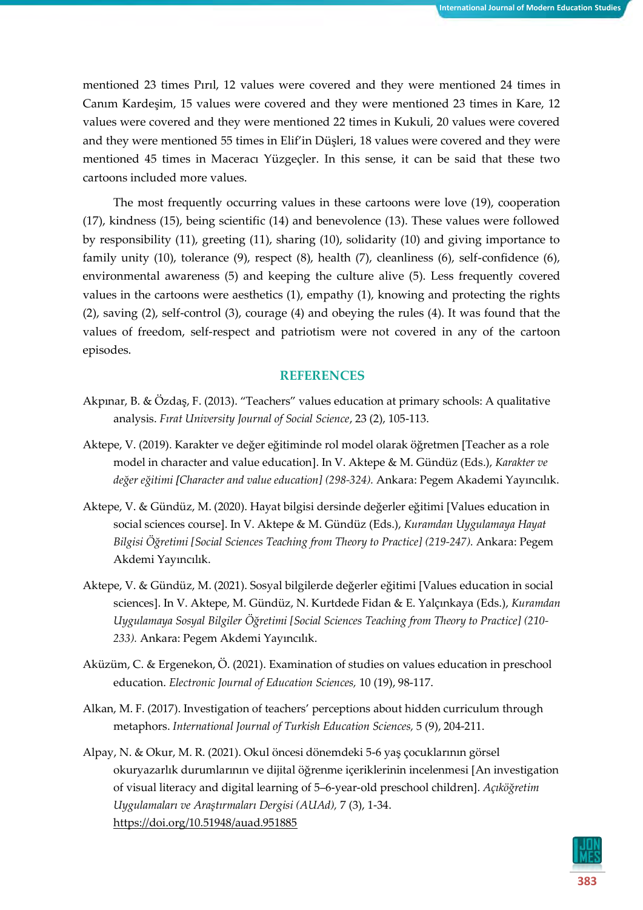mentioned 23 times Pırıl, 12 values were covered and they were mentioned 24 times in Canım Kardeşim, 15 values were covered and they were mentioned 23 times in Kare, 12 values were covered and they were mentioned 22 times in Kukuli, 20 values were covered and they were mentioned 55 times in Elif'in Düşleri, 18 values were covered and they were mentioned 45 times in Maceracı Yüzgeçler. In this sense, it can be said that these two cartoons included more values.

The most frequently occurring values in these cartoons were love (19), cooperation (17), kindness (15), being scientific (14) and benevolence (13). These values were followed by responsibility (11), greeting (11), sharing (10), solidarity (10) and giving importance to family unity (10), tolerance (9), respect (8), health (7), cleanliness (6), self-confidence (6), environmental awareness (5) and keeping the culture alive (5). Less frequently covered values in the cartoons were aesthetics (1), empathy (1), knowing and protecting the rights (2), saving (2), self-control (3), courage (4) and obeying the rules (4). It was found that the values of freedom, self-respect and patriotism were not covered in any of the cartoon episodes.

#### **REFERENCES**

- Akpınar, B. & Özdaş, F. (2013). "Teachers" values education at primary schools: A qualitative analysis. *Fırat University Journal of Social Science*, 23 (2), 105-113.
- Aktepe, V. (2019). Karakter ve değer eğitiminde rol model olarak öğretmen [Teacher as a role model in character and value education]. In V. Aktepe & M. Gündüz (Eds.), *Karakter ve değer eğitimi [Character and value education] (298-324).* Ankara: Pegem Akademi Yayıncılık.
- Aktepe, V. & Gündüz, M. (2020). Hayat bilgisi dersinde değerler eğitimi [Values education in social sciences course]. In V. Aktepe & M. Gündüz (Eds.), *Kuramdan Uygulamaya Hayat Bilgisi Öğretimi [Social Sciences Teaching from Theory to Practice] (219-247).* Ankara: Pegem Akdemi Yayıncılık.
- Aktepe, V. & Gündüz, M. (2021). Sosyal bilgilerde değerler eğitimi [Values education in social sciences]. In V. Aktepe, M. Gündüz, N. Kurtdede Fidan & E. Yalçınkaya (Eds.), *Kuramdan Uygulamaya Sosyal Bilgiler Öğretimi [Social Sciences Teaching from Theory to Practice] (210- 233).* Ankara: Pegem Akdemi Yayıncılık.
- Aküzüm, C. & Ergenekon, Ö. (2021). Examination of studies on values education in preschool education. *Electronic Journal of Education Sciences,* 10 (19), 98-117.
- Alkan, M. F. (2017). Investigation of teachers' perceptions about hidden curriculum through metaphors. *International Journal of Turkish Education Sciences,* 5 (9), 204-211.
- Alpay, N. & Okur, M. R. (2021). Okul öncesi dönemdeki 5-6 yaş çocuklarının görsel okuryazarlık durumlarının ve dijital öğrenme içeriklerinin incelenmesi [An investigation of visual literacy and digital learning of 5–6-year-old preschool children]. *Açıköğretim Uygulamaları ve Araştırmaları Dergisi (AUAd),* 7 (3), 1-34. <https://doi.org/10.51948/auad.951885>

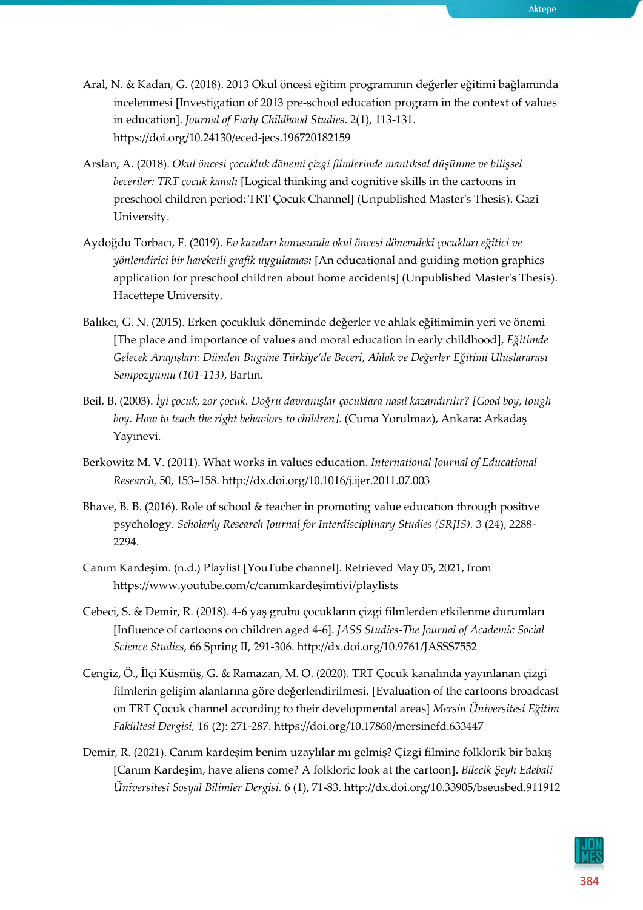- Aral, N. & Kadan, G. (2018). 2013 Okul öncesi eğitim programının değerler eğitimi bağlamında incelenmesi [Investigation of 2013 pre-school education program in the context of values in education]. *Journal of Early Childhood Studies*. 2(1), 113-131. https://doi.org/10.24130/eced-jecs.196720182159
- Arslan, A. (2018). *Okul öncesi çocukluk dönemi çizgi filmlerinde mantıksal düşünme ve bilişsel beceriler: TRT çocuk kanalı* [Logical thinking and cognitive skills in the cartoons in preschool children period: TRT Çocuk Channel] (Unpublished Master's Thesis). Gazi University.
- Aydoğdu Torbacı, F. (2019). *Ev kazaları konusunda okul öncesi dönemdeki çocukları eğitici ve yönlendirici bir hareketli grafik uygulaması* [An educational and guiding motion graphics application for preschool children about home accidents] (Unpublished Master's Thesis). Hacettepe University.
- Balıkcı, G. N. (2015). Erken çocukluk döneminde değerler ve ahlak eğitimimin yeri ve önemi [The place and importance of values and moral education in early childhood], *Eğitimde Gelecek Arayışları: Dünden Bugüne Türkiye'de Beceri, Ahlak ve Değerler Eğitimi Uluslararası Sempozyumu (101-113)*, Bartın.
- Beil, B. (2003). *İyi çocuk, zor çocuk. Doğru davranışlar çocuklara nasıl kazandırılır? [Good boy, tough boy. How to teach the right behaviors to children].* (Cuma Yorulmaz), Ankara: Arkadaş Yayınevi.
- Berkowitz M. V. (2011). What works in values education. *International Journal of Educational Research,* 50, 153–158. http://dx.doi.org/10.1016/j.ijer.2011.07.003
- Bhave, B. B. (2016). Role of school & teacher in promoting value educatıon through positıve psychology. *Scholarly Research Journal for Interdisciplinary Studies (SRJIS).* 3 (24), 2288- 2294.
- Canım Kardeşim. (n.d.) Playlist [YouTube channel]. Retrieved May 05, 2021, from https://www.youtube.com/c/canımkardeşimtivi/playlists
- Cebeci, S. & Demir, R. (2018). 4-6 yaş grubu çocukların çizgi filmlerden etkilenme durumları [Influence of cartoons on children aged 4-6]. *JASS Studies-The Journal of Academic Social Science Studies,* 66 Spring II, 291-306. http://dx.doi.org/10.9761/JASSS7552
- Cengiz, Ö., İlçi Küsmüş, G. & Ramazan, M. O. (2020). TRT Çocuk kanalında yayınlanan çizgi filmlerin gelişim alanlarına göre değerlendirilmesi. [Evaluation of the cartoons broadcast on TRT Çocuk channel according to their developmental areas] *Mersin Üniversitesi Eğitim Fakültesi Dergisi,* 16 (2): 271-287. https://doi.org/10.17860/mersinefd.633447
- Demir, R. (2021). Canım kardeşim benim uzaylılar mı gelmiş? Çizgi filmine folklorik bir bakış [Canım Kardeşim, have aliens come? A folkloric look at the cartoon]. *Bilecik Şeyh Edebali Üniversitesi Sosyal Bilimler Dergisi.* 6 (1), 71-83. http://dx.doi.org/10.33905/bseusbed.911912

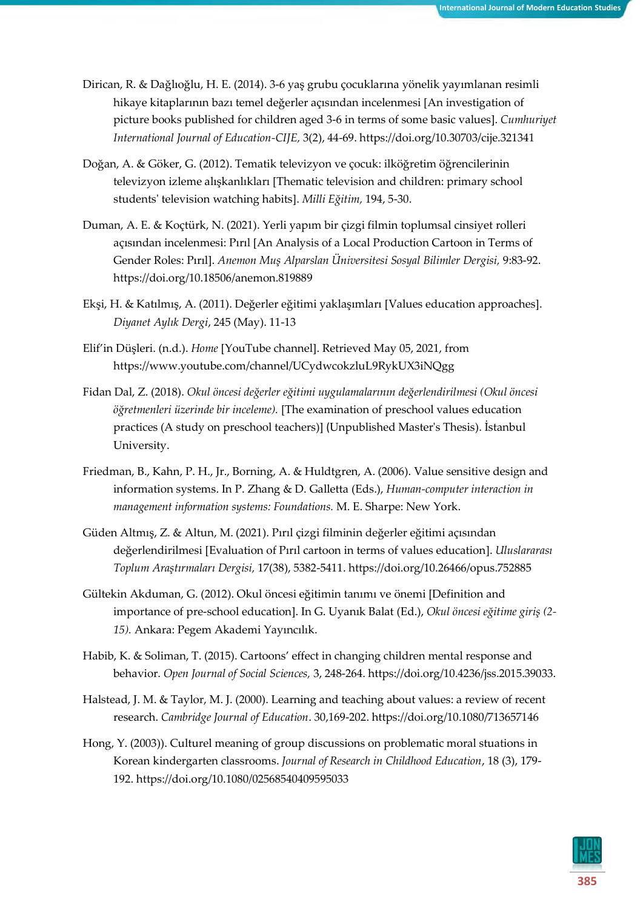- Dirican, R. & Dağlıoğlu, H. E. (2014). 3-6 yaş grubu çocuklarına yönelik yayımlanan resimli hikaye kitaplarının bazı temel değerler açısından incelenmesi [An investigation of picture books published for children aged 3-6 in terms of some basic values]. *Cumhuriyet International Journal of Education-CIJE,* 3(2), 44-69. https://doi.org/10.30703/cije.321341
- Doğan, A. & Göker, G. (2012). Tematik televizyon ve çocuk: ilköğretim öğrencilerinin televizyon izleme alışkanlıkları [Thematic television and children: primary school students' television watching habits]. *Milli Eğitim,* 194, 5-30.
- Duman, A. E. & Koçtürk, N. (2021). Yerli yapım bir çizgi filmin toplumsal cinsiyet rolleri açısından incelenmesi: Pırıl [An Analysis of a Local Production Cartoon in Terms of Gender Roles: Pırıl]. *Anemon Muş Alparslan Üniversitesi Sosyal Bilimler Dergisi,* 9:83-92. https://doi.org/10.18506/anemon.819889
- Ekşi, H. & Katılmış, A. (2011). Değerler eğitimi yaklaşımları [Values education approaches]. *Diyanet Aylık Dergi*, 245 (May). 11-13
- Elif'in Düşleri. (n.d.). *Home* [YouTube channel]. Retrieved May 05, 2021, from https://www.youtube.com/channel/UCydwcokzluL9RykUX3iNQgg
- Fidan Dal, Z. (2018). *Okul öncesi değerler eğitimi uygulamalarının değerlendirilmesi (Okul öncesi öğretmenleri üzerinde bir inceleme).* [The examination of preschool values education practices (A study on preschool teachers)] (Unpublished Master's Thesis). İstanbul University.
- Friedman, B., Kahn, P. H., Jr., Borning, A. & Huldtgren, A. (2006). Value sensitive design and information systems. In P. Zhang & D. Galletta (Eds.), *Human-computer interaction in management information systems: Foundations.* M. E. Sharpe: New York.
- Güden Altmış, Z. & Altun, M. (2021). Pırıl çizgi filminin değerler eğitimi açısından değerlendirilmesi [Evaluation of Pırıl cartoon in terms of values education]. *Uluslararası Toplum Araştırmaları Dergisi,* 17(38), 5382-5411. https://doi.org/10.26466/opus.752885
- Gültekin Akduman, G. (2012). Okul öncesi eğitimin tanımı ve önemi [Definition and importance of pre-school education]. In G. Uyanık Balat (Ed.), *Okul öncesi eğitime giriş (2- 15).* Ankara: Pegem Akademi Yayıncılık.
- Habib, K. & Soliman, T. (2015). Cartoons' effect in changing children mental response and behavior. *Open Journal of Social Sciences,* 3, 248-264. https://doi.org/10.4236/jss.2015.39033.
- Halstead, J. M. & Taylor, M. J. (2000). Learning and teaching about values: a review of recent research. *Cambridge Journal of Education*. 30,169-202. https://doi.org/10.1080/713657146
- Hong, Y. (2003)). Culturel meaning of group discussions on problematic moral stuations in Korean kindergarten classrooms. *Journal of Research in Childhood Education*, 18 (3), 179- 192. https://doi.org/10.1080/02568540409595033

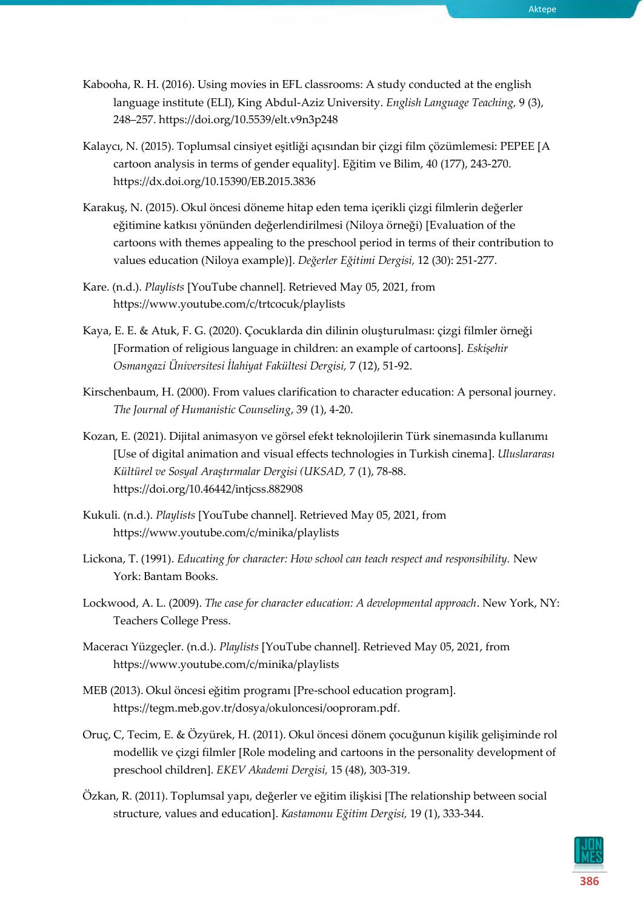- Kabooha, R. H. (2016). Using movies in EFL classrooms: A study conducted at the english language institute (ELI), King Abdul-Aziz University. *English Language Teaching,* 9 (3), 248–257. https://doi.org/10.5539/elt.v9n3p248
- Kalaycı, N. (2015). Toplumsal cinsiyet eşitliği açısından bir çizgi film çözümlemesi: PEPEE [A cartoon analysis in terms of gender equality]. Eğitim ve Bilim, 40 (177), 243-270. https://dx.doi.org/10.15390/EB.2015.3836
- Karakuş, N. (2015). Okul öncesi döneme hitap eden tema içerikli çizgi filmlerin değerler eğitimine katkısı yönünden değerlendirilmesi (Niloya örneği) [Evaluation of the cartoons with themes appealing to the preschool period in terms of their contribution to values education (Niloya example)]. *Değerler Eğitimi Dergisi,* 12 (30): 251-277.
- Kare. (n.d.). *Playlists* [YouTube channel]. Retrieved May 05, 2021, from https://www.youtube.com/c/trtcocuk/playlists
- Kaya, E. E. & Atuk, F. G. (2020). Çocuklarda din dilinin oluşturulması: çizgi filmler örneği [Formation of religious language in children: an example of cartoons]. *Eskişehir Osmangazi Üniversitesi İlahiyat Fakültesi Dergisi,* 7 (12), 51-92.
- Kirschenbaum, H. (2000). From values clarification to character education: A personal journey. *The Journal of Humanistic Counseling*, 39 (1), 4-20.
- Kozan, E. (2021). Dijital animasyon ve görsel efekt teknolojilerin Türk sinemasında kullanımı [Use of digital animation and visual effects technologies in Turkish cinema]. *Uluslararası Kültürel ve Sosyal Araştırmalar Dergisi (UKSAD,* 7 (1), 78-88. https://doi.org/10.46442/intjcss.882908
- Kukuli. (n.d.). *Playlists* [YouTube channel]. Retrieved May 05, 2021, from https://www.youtube.com/c/minika/playlists
- Lickona, T. (1991). *Educating for character: How school can teach respect and responsibility.* New York: Bantam Books.
- Lockwood, A. L. (2009). *The case for character education: A developmental approach*. New York, NY: Teachers College Press.
- Maceracı Yüzgeçler. (n.d.). *Playlists* [YouTube channel]. Retrieved May 05, 2021, from https://www.youtube.com/c/minika/playlists
- MEB (2013). Okul öncesi eğitim programı [Pre-school education program]. https://tegm.meb.gov.tr/dosya/okuloncesi/ooproram.pdf.
- Oruç, C, Tecim, E. & Özyürek, H. (2011). Okul öncesi dönem çocuğunun kişilik gelişiminde rol modellik ve çizgi filmler [Role modeling and cartoons in the personality development of preschool children]. *EKEV Akademi Dergisi,* 15 (48), 303-319.
- Özkan, R. (2011). Toplumsal yapı, değerler ve eğitim ilişkisi [The relationship between social structure, values and education]. *Kastamonu Eğitim Dergisi,* 19 (1), 333-344.



**386**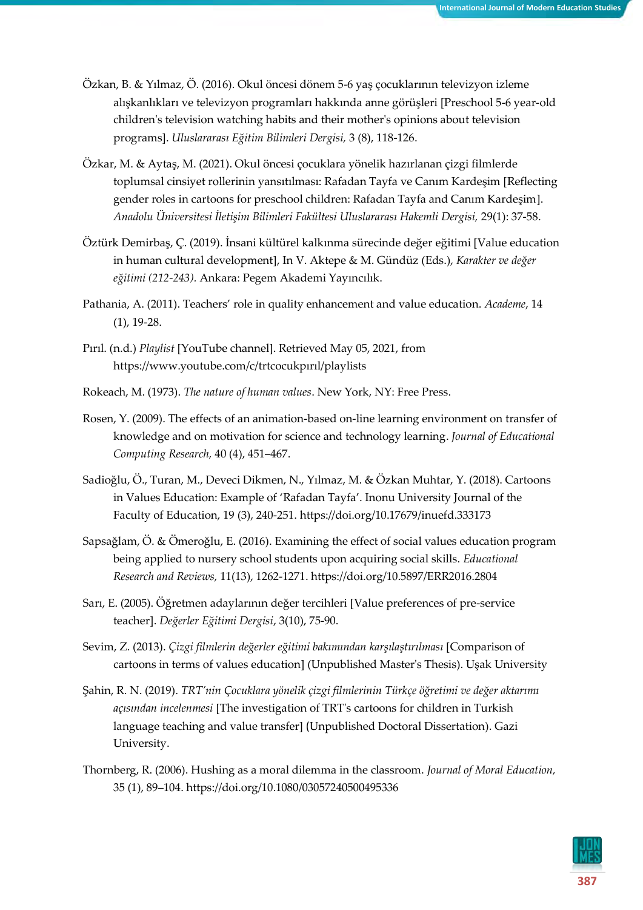- Özkan, B. & Yılmaz, Ö. (2016). Okul öncesi dönem 5-6 yaş çocuklarının televizyon izleme alışkanlıkları ve televizyon programları hakkında anne görüşleri [Preschool 5-6 year-old children's television watching habits and their mother's opinions about television programs]. *Uluslararası Eğitim Bilimleri Dergisi,* 3 (8), 118-126.
- Özkar, M. & Aytaş, M. (2021). Okul öncesi çocuklara yönelik hazırlanan çizgi filmlerde toplumsal cinsiyet rollerinin yansıtılması: Rafadan Tayfa ve Canım Kardeşim [Reflecting gender roles in cartoons for preschool children: Rafadan Tayfa and Canım Kardeşim]. *Anadolu Üniversitesi İletişim Bilimleri Fakültesi Uluslararası Hakemli Dergisi,* 29(1): 37-58.
- Öztürk Demirbaş, Ç. (2019). İnsani kültürel kalkınma sürecinde değer eğitimi [Value education in human cultural development], In V. Aktepe & M. Gündüz (Eds.), *Karakter ve değer eğitimi (212-243).* Ankara: Pegem Akademi Yayıncılık.
- Pathania, A. (2011). Teachers' role in quality enhancement and value education. *Academe*, 14 (1), 19-28.
- Pırıl. (n.d.) *Playlist* [YouTube channel]. Retrieved May 05, 2021, from https://www.youtube.com/c/trtcocukpırıl/playlists
- Rokeach, M. (1973). *The nature of human values*. New York, NY: Free Press.
- Rosen, Y. (2009). The effects of an animation-based on-line learning environment on transfer of knowledge and on motivation for science and technology learning. *Journal of Educational Computing Research,* 40 (4), 451–467.
- Sadioğlu, Ö., Turan, M., Deveci Dikmen, N., Yılmaz, M. & Özkan Muhtar, Y. (2018). Cartoons in Values Education: Example of 'Rafadan Tayfa'. Inonu University Journal of the Faculty of Education, 19 (3), 240-251[. https://doi.org/10.17679/inuefd.333173](https://doi.org/10.17679/inuefd.333173)
- Sapsağlam, Ö. & Ömeroğlu, E. (2016). Examining the effect of social values education program being applied to nursery school students upon acquiring social skills. *Educational Research and Reviews,* 11(13), 1262-1271. https://doi.org/10.5897/ERR2016.2804
- Sarı, E. (2005). Öğretmen adaylarının değer tercihleri [Value preferences of pre-service teacher]. *Değerler Eğitimi Dergisi*, 3(10), 75-90.
- Sevim, Z. (2013). *Çizgi filmlerin değerler eğitimi bakımından karşılaştırılması* [Comparison of cartoons in terms of values education] (Unpublished Master's Thesis). Uşak University
- Şahin, R. N. (2019). *TRT'nin Çocuklara yönelik çizgi filmlerinin Türkçe öğretimi ve değer aktarımı açısından incelenmesi* [The investigation of TRT's cartoons for children in Turkish language teaching and value transfer] (Unpublished Doctoral Dissertation). Gazi University.
- Thornberg, R. (2006). Hushing as a moral dilemma in the classroom. *Journal of Moral Education,* 35 (1), 89–104. https://doi.org/10.1080/03057240500495336

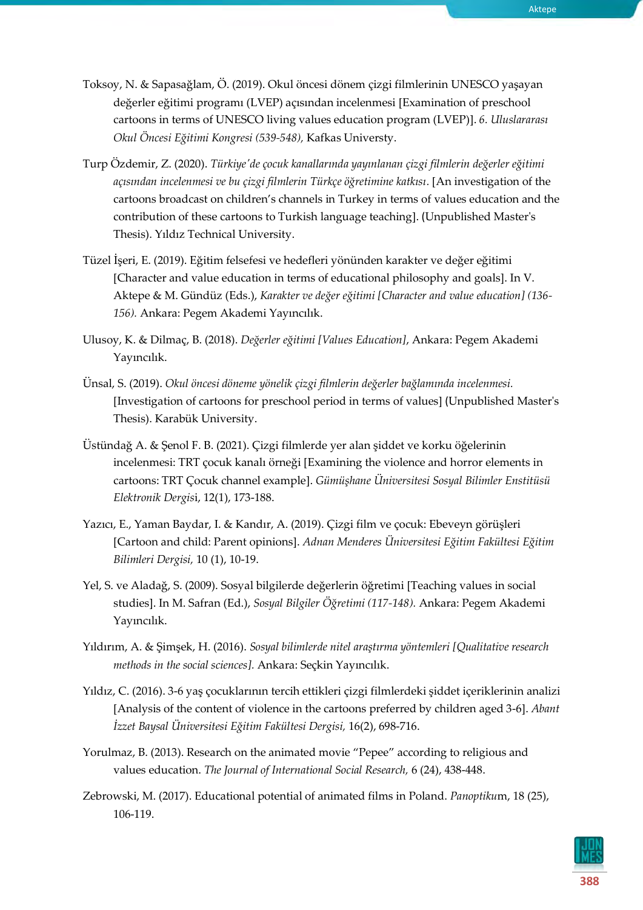- Toksoy, N. & Sapasağlam, Ö. (2019). Okul öncesi dönem çizgi filmlerinin UNESCO yaşayan değerler eğitimi programı (LVEP) açısından incelenmesi [Examination of preschool cartoons in terms of UNESCO living values education program (LVEP)]. *6. Uluslararası Okul Öncesi Eğitimi Kongresi (539-548),* Kafkas Universty.
- Turp Özdemir, Z. (2020). *Türkiye'de çocuk kanallarında yayınlanan çizgi filmlerin değerler eğitimi açısından incelenmesi ve bu çizgi filmlerin Türkçe öğretimine katkısı.* [An investigation of the cartoons broadcast on children's channels in Turkey in terms of values education and the contribution of these cartoons to Turkish language teaching]. (Unpublished Master's Thesis). Yıldız Technical University.
- Tüzel İşeri, E. (2019). Eğitim felsefesi ve hedefleri yönünden karakter ve değer eğitimi [Character and value education in terms of educational philosophy and goals]. In V. Aktepe & M. Gündüz (Eds.), *Karakter ve değer eğitimi [Character and value education] (136- 156).* Ankara: Pegem Akademi Yayıncılık.
- Ulusoy, K. & Dilmaç, B. (2018). *Değerler eğitimi [Values Education]*, Ankara: Pegem Akademi Yayıncılık.
- Ünsal, S. (2019). *Okul öncesi döneme yönelik çizgi filmlerin değerler bağlamında incelenmesi.* [Investigation of cartoons for preschool period in terms of values] (Unpublished Master's Thesis). Karabük University.
- Üstündağ A. & Şenol F. B. (2021). Çizgi filmlerde yer alan şiddet ve korku öğelerinin incelenmesi: TRT çocuk kanalı örneği [Examining the violence and horror elements in cartoons: TRT Çocuk channel example]. *Gümüşhane Üniversitesi Sosyal Bilimler Enstitüsü Elektronik Dergis*i, 12(1), 173-188.
- Yazıcı, E., Yaman Baydar, I. & Kandır, A. (2019). Çizgi film ve çocuk: Ebeveyn görüşleri [Cartoon and child: Parent opinions]. *Adnan Menderes Üniversitesi Eğitim Fakültesi Eğitim Bilimleri Dergisi,* 10 (1), 10-19.
- Yel, S. ve Aladağ, S. (2009). Sosyal bilgilerde değerlerin öğretimi [Teaching values in social studies]. In M. Safran (Ed.), *Sosyal Bilgiler Öğretimi (117-148).* Ankara: Pegem Akademi Yayıncılık.
- Yıldırım, A. & Şimşek, H. (2016). *Sosyal bilimlerde nitel araştırma yöntemleri [Qualitative research methods in the social sciences].* Ankara: Seçkin Yayıncılık.
- Yıldız, C. (2016). 3-6 yaş çocuklarının tercih ettikleri çizgi filmlerdeki şiddet içeriklerinin analizi [Analysis of the content of violence in the cartoons preferred by children aged 3-6]. *Abant İzzet Baysal Üniversitesi Eğitim Fakültesi Dergisi,* 16(2), 698-716.
- Yorulmaz, B. (2013). Research on the animated movie "Pepee" according to religious and values education. *The Journal of International Social Research,* 6 (24), 438-448.
- Zebrowski, M. (2017). Educational potential of animated films in Poland. *Panoptiku*m, 18 (25), 106-119.



Aktepe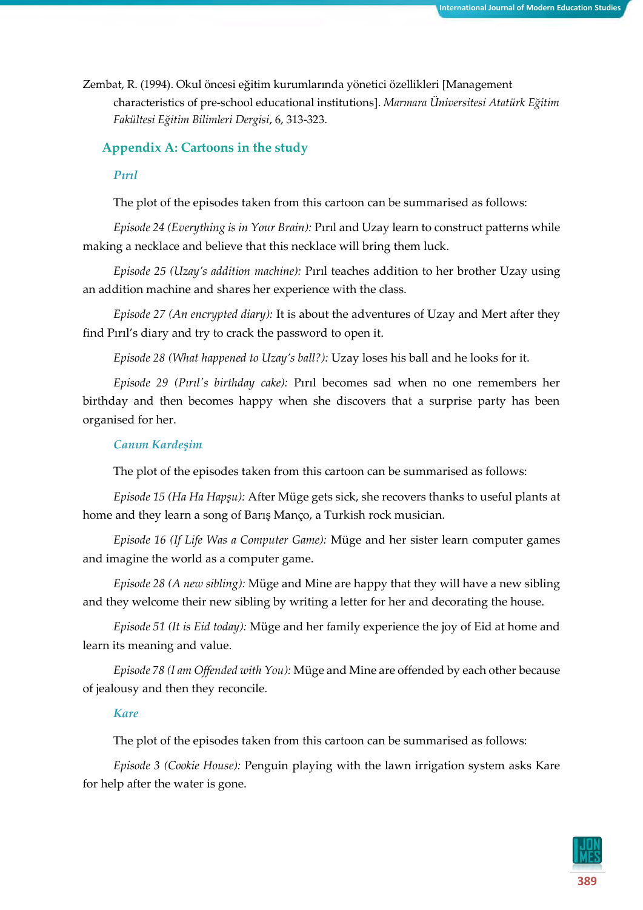Zembat, R. (1994). Okul öncesi eğitim kurumlarında yönetici özellikleri [Management characteristics of pre-school educational institutions]. *Marmara Üniversitesi Atatürk Eğitim Fakültesi Eğitim Bilimleri Dergisi*, 6, 313-323.

## **Appendix A: Cartoons in the study**

## *Pırıl*

The plot of the episodes taken from this cartoon can be summarised as follows:

*Episode 24 (Everything is in Your Brain):* Pırıl and Uzay learn to construct patterns while making a necklace and believe that this necklace will bring them luck.

*Episode 25 (Uzay's addition machine):* Pırıl teaches addition to her brother Uzay using an addition machine and shares her experience with the class.

*Episode 27 (An encrypted diary):* It is about the adventures of Uzay and Mert after they find Pırıl's diary and try to crack the password to open it.

*Episode 28 (What happened to Uzay's ball?):* Uzay loses his ball and he looks for it.

*Episode 29 (Pırıl's birthday cake):* Pırıl becomes sad when no one remembers her birthday and then becomes happy when she discovers that a surprise party has been organised for her.

## *Canım Kardeşim*

The plot of the episodes taken from this cartoon can be summarised as follows:

*Episode 15 (Ha Ha Hapşu):* After Müge gets sick, she recovers thanks to useful plants at home and they learn a song of Barış Manço, a Turkish rock musician.

*Episode 16 (If Life Was a Computer Game):* Müge and her sister learn computer games and imagine the world as a computer game.

*Episode 28 (A new sibling):* Müge and Mine are happy that they will have a new sibling and they welcome their new sibling by writing a letter for her and decorating the house.

*Episode 51 (It is Eid today):* Müge and her family experience the joy of Eid at home and learn its meaning and value.

*Episode 78 (I am Offended with You):* Müge and Mine are offended by each other because of jealousy and then they reconcile.

## *Kare*

The plot of the episodes taken from this cartoon can be summarised as follows:

*Episode 3 (Cookie House):* Penguin playing with the lawn irrigation system asks Kare for help after the water is gone.

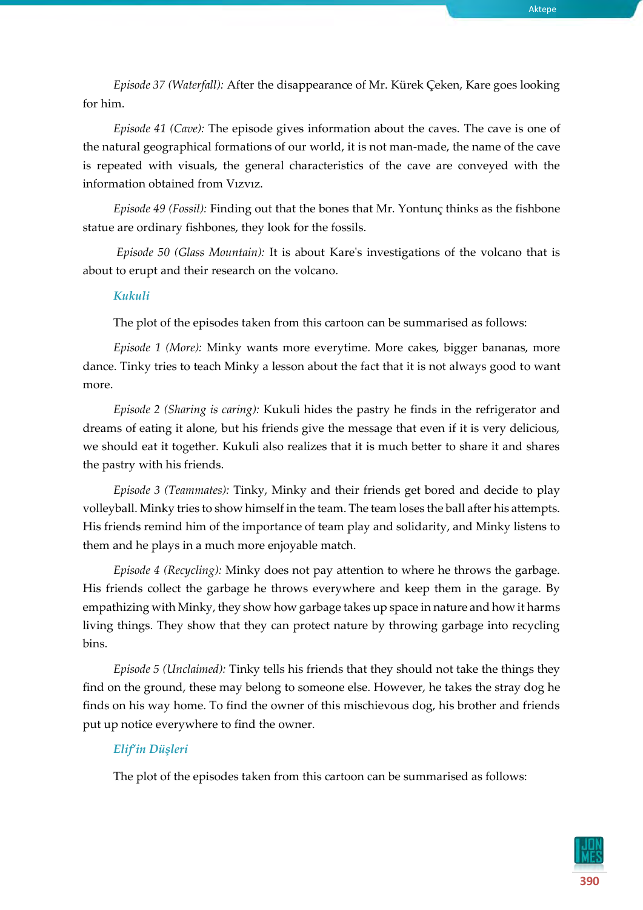*Episode 37 (Waterfall):* After the disappearance of Mr. Kürek Çeken, Kare goes looking for him.

*Episode 41 (Cave):* The episode gives information about the caves. The cave is one of the natural geographical formations of our world, it is not man-made, the name of the cave is repeated with visuals, the general characteristics of the cave are conveyed with the information obtained from Vızvız.

*Episode 49 (Fossil):* Finding out that the bones that Mr. Yontunç thinks as the fishbone statue are ordinary fishbones, they look for the fossils.

*Episode 50 (Glass Mountain):* It is about Kare's investigations of the volcano that is about to erupt and their research on the volcano.

#### *Kukuli*

The plot of the episodes taken from this cartoon can be summarised as follows:

*Episode 1 (More):* Minky wants more everytime. More cakes, bigger bananas, more dance. Tinky tries to teach Minky a lesson about the fact that it is not always good to want more.

*Episode 2 (Sharing is caring):* Kukuli hides the pastry he finds in the refrigerator and dreams of eating it alone, but his friends give the message that even if it is very delicious, we should eat it together. Kukuli also realizes that it is much better to share it and shares the pastry with his friends.

*Episode 3 (Teammates):* Tinky, Minky and their friends get bored and decide to play volleyball. Minky tries to show himself in the team. The team loses the ball after his attempts. His friends remind him of the importance of team play and solidarity, and Minky listens to them and he plays in a much more enjoyable match.

*Episode 4 (Recycling):* Minky does not pay attention to where he throws the garbage. His friends collect the garbage he throws everywhere and keep them in the garage. By empathizing with Minky, they show how garbage takes up space in nature and how it harms living things. They show that they can protect nature by throwing garbage into recycling bins.

*Episode 5 (Unclaimed):* Tinky tells his friends that they should not take the things they find on the ground, these may belong to someone else. However, he takes the stray dog he finds on his way home. To find the owner of this mischievous dog, his brother and friends put up notice everywhere to find the owner.

## *Elif'in Düşleri*

The plot of the episodes taken from this cartoon can be summarised as follows:

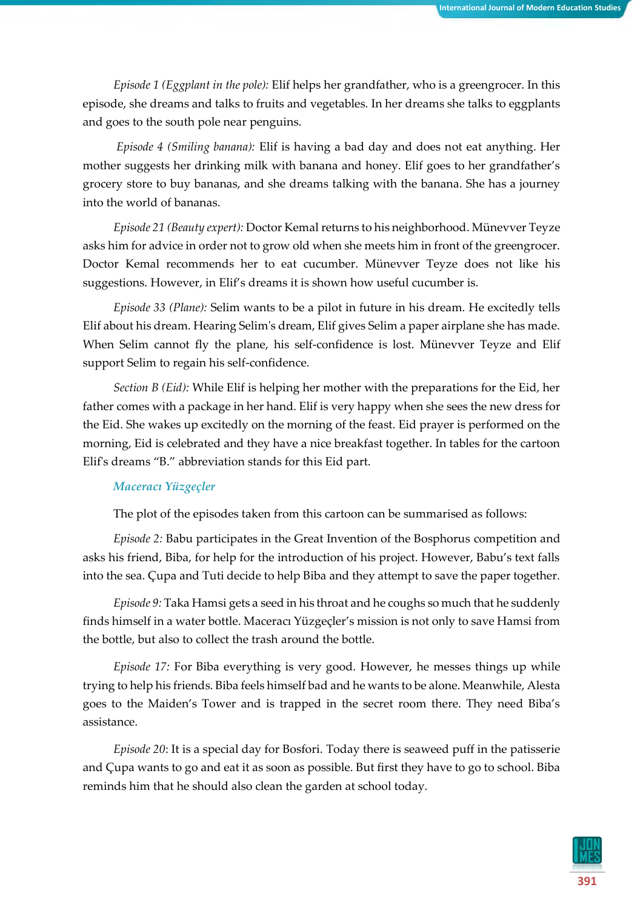*Episode 1 (Eggplant in the pole):* Elif helps her grandfather, who is a greengrocer. In this episode, she dreams and talks to fruits and vegetables. In her dreams she talks to eggplants and goes to the south pole near penguins.

*Episode 4 (Smiling banana):* Elif is having a bad day and does not eat anything. Her mother suggests her drinking milk with banana and honey. Elif goes to her grandfather's grocery store to buy bananas, and she dreams talking with the banana. She has a journey into the world of bananas.

*Episode 21 (Beauty expert):* Doctor Kemal returns to his neighborhood. Münevver Teyze asks him for advice in order not to grow old when she meets him in front of the greengrocer. Doctor Kemal recommends her to eat cucumber. Münevver Teyze does not like his suggestions. However, in Elif's dreams it is shown how useful cucumber is.

*Episode 33 (Plane):* Selim wants to be a pilot in future in his dream. He excitedly tells Elif about his dream. Hearing Selim's dream, Elif gives Selim a paper airplane she has made. When Selim cannot fly the plane, his self-confidence is lost. Münevver Teyze and Elif support Selim to regain his self-confidence.

*Section B (Eid):* While Elif is helping her mother with the preparations for the Eid, her father comes with a package in her hand. Elif is very happy when she sees the new dress for the Eid. She wakes up excitedly on the morning of the feast. Eid prayer is performed on the morning, Eid is celebrated and they have a nice breakfast together. In tables for the cartoon Elif's dreams "B." abbreviation stands for this Eid part.

## *Maceracı Yüzgeçler*

The plot of the episodes taken from this cartoon can be summarised as follows:

*Episode 2:* Babu participates in the Great Invention of the Bosphorus competition and asks his friend, Biba, for help for the introduction of his project. However, Babu's text falls into the sea. Çupa and Tuti decide to help Biba and they attempt to save the paper together.

*Episode 9:* Taka Hamsi gets a seed in his throat and he coughs so much that he suddenly finds himself in a water bottle. Maceracı Yüzgeçler's mission is not only to save Hamsi from the bottle, but also to collect the trash around the bottle.

*Episode 17:* For Biba everything is very good. However, he messes things up while trying to help his friends. Biba feels himself bad and he wants to be alone. Meanwhile, Alesta goes to the Maiden's Tower and is trapped in the secret room there. They need Biba's assistance.

*Episode 20*: It is a special day for Bosfori. Today there is seaweed puff in the patisserie and Çupa wants to go and eat it as soon as possible. But first they have to go to school. Biba reminds him that he should also clean the garden at school today.

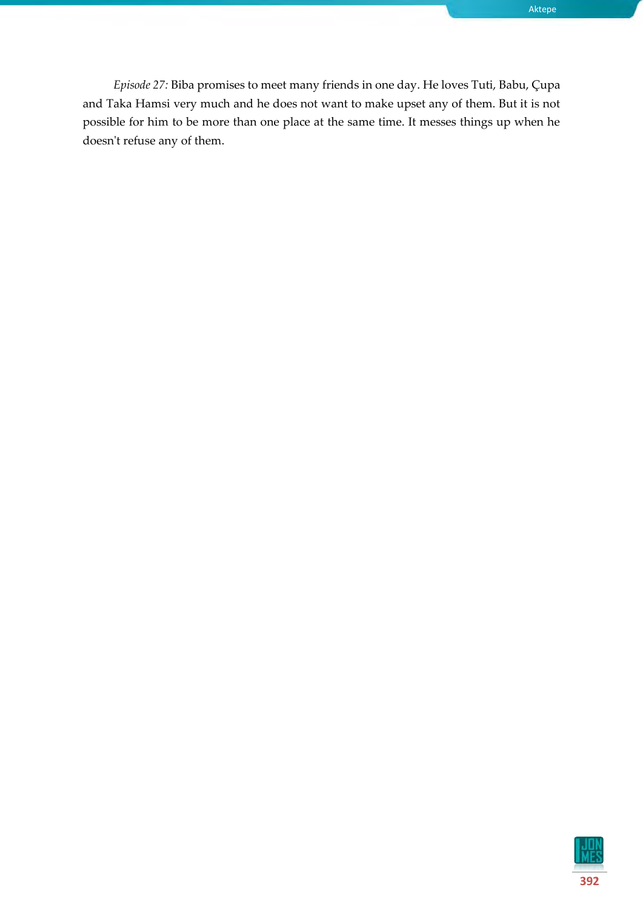*Episode 27:* Biba promises to meet many friends in one day. He loves Tuti, Babu, Çupa and Taka Hamsi very much and he does not want to make upset any of them. But it is not possible for him to be more than one place at the same time. It messes things up when he doesn't refuse any of them.